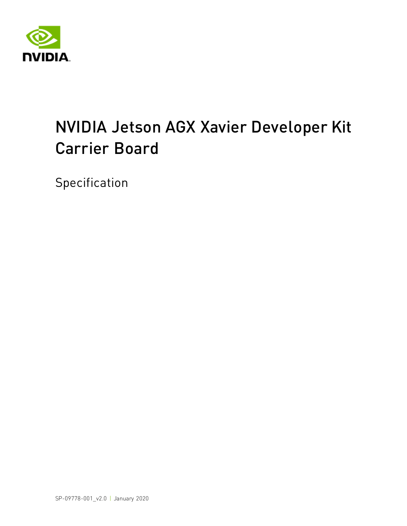

# NVIDIA Jetson AGX Xavier Developer Kit Carrier Board

Specification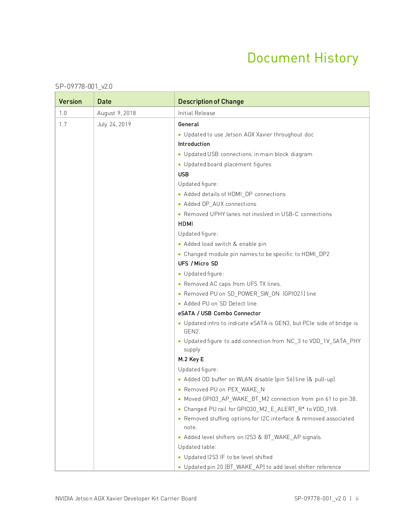### Document History

| <b>Version</b> | <b>Date</b>    | <b>Description of Change</b>                                                                |  |  |  |  |  |
|----------------|----------------|---------------------------------------------------------------------------------------------|--|--|--|--|--|
| 1.0            | August 9, 2018 | <b>Initial Release</b>                                                                      |  |  |  |  |  |
| 1.7            | July 24, 2019  | General                                                                                     |  |  |  |  |  |
|                |                | • Updated to use Jetson AGX Xavier throughout doc                                           |  |  |  |  |  |
|                |                | Introduction                                                                                |  |  |  |  |  |
|                |                | • Updated USB connections in main block diagram                                             |  |  |  |  |  |
|                |                | • Updated board placement figures                                                           |  |  |  |  |  |
|                |                | <b>USB</b>                                                                                  |  |  |  |  |  |
|                |                | Updated figure:                                                                             |  |  |  |  |  |
|                |                | • Added details of HDMI_DP connections                                                      |  |  |  |  |  |
|                |                | • Added DP_AUX connections                                                                  |  |  |  |  |  |
|                |                | • Removed UPHY lanes not involved in USB-C connections                                      |  |  |  |  |  |
|                |                | <b>HDMI</b>                                                                                 |  |  |  |  |  |
|                |                | Updated figure:                                                                             |  |  |  |  |  |
|                |                | • Added load switch & enable pin                                                            |  |  |  |  |  |
|                |                | • Changed module pin names to be specific to HDMI_DP2                                       |  |  |  |  |  |
|                |                | UFS / Micro SD                                                                              |  |  |  |  |  |
|                |                | · Updated figure:                                                                           |  |  |  |  |  |
|                |                | • Removed AC caps from UFS TX lines.                                                        |  |  |  |  |  |
|                |                | • Removed PU on SD_POWER_SW_ON (GPIO21) line                                                |  |  |  |  |  |
|                |                | • Added PU on SD Detect line.                                                               |  |  |  |  |  |
|                |                | eSATA / USB Combo Connector                                                                 |  |  |  |  |  |
|                |                | • Updated intro to indicate eSATA is GEN3, but PCIe side of bridge is<br>GEN <sub>2</sub> . |  |  |  |  |  |
|                |                | • Updated figure to add connection from NC_3 to VDD_1V_SATA_PHY<br>supply                   |  |  |  |  |  |
|                |                | M.2 Key E                                                                                   |  |  |  |  |  |
|                |                | Updated figure:                                                                             |  |  |  |  |  |
|                |                | • Added OD buffer on WLAN disable (pin 56) line (& pull-up)                                 |  |  |  |  |  |
|                |                | • Removed PU on PEX_WAKE_N                                                                  |  |  |  |  |  |
|                |                | • Moved GPI03_AP_WAKE_BT_M2 connection from pin 61 to pin 38.                               |  |  |  |  |  |
|                |                | • Changed PU rail for GPI030_M2_E_ALERT_R* to VDD_1V8.                                      |  |  |  |  |  |
|                |                | • Removed stuffing options for I2C interface & removed associated<br>note.                  |  |  |  |  |  |
|                |                | • Added level shifters on I2S3 & BT_WAKE_AP signals.                                        |  |  |  |  |  |
|                |                | Updated table:                                                                              |  |  |  |  |  |
|                |                | • Updated I2S3 IF to be level shifted                                                       |  |  |  |  |  |
|                |                | • Updated pin 20 (BT_WAKE_AP) to add level shifter reference                                |  |  |  |  |  |

#### SP-09778-001\_v2.0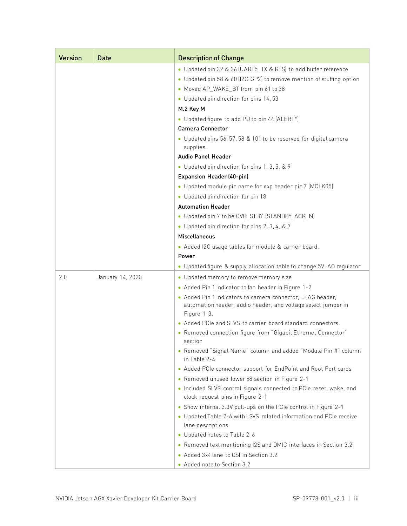| <b>Version</b> | <b>Date</b>      | <b>Description of Change</b>                                                                                                                                                   |
|----------------|------------------|--------------------------------------------------------------------------------------------------------------------------------------------------------------------------------|
|                |                  | • Updated pin 32 & 36 (UART5_TX & RTS) to add buffer reference<br>• Updated pin 58 & 60 (I2C GP2) to remove mention of stuffing option<br>• Moved AP_WAKE_BT from pin 61 to 38 |
|                |                  | • Updated pin direction for pins 14, 53                                                                                                                                        |
|                |                  | M.2 Key M                                                                                                                                                                      |
|                |                  | • Updated figure to add PU to pin 44 (ALERT*)                                                                                                                                  |
|                |                  | <b>Camera Connector</b>                                                                                                                                                        |
|                |                  | • Updated pins 56, 57, 58 & 101 to be reserved for digital camera<br>supplies                                                                                                  |
|                |                  | Audio Panel Header                                                                                                                                                             |
|                |                  | • Updated pin direction for pins 1, 3, 5, & 9                                                                                                                                  |
|                |                  | Expansion Header (40-pin)                                                                                                                                                      |
|                |                  | • Updated module pin name for exp header pin 7 (MCLK05)                                                                                                                        |
|                |                  | • Updated pin direction for pin 18                                                                                                                                             |
|                |                  | <b>Automation Header</b>                                                                                                                                                       |
|                |                  | • Updated pin 7 to be CVB_STBY (STANDBY_ACK_N)                                                                                                                                 |
|                |                  | • Updated pin direction for pins 2, 3, 4, & 7                                                                                                                                  |
|                |                  | Miscellaneous                                                                                                                                                                  |
|                |                  | • Added I2C usage tables for module & carrier board.<br>Power                                                                                                                  |
|                |                  | • Updated figure & supply allocation table to change 5V_AO regulator                                                                                                           |
| 2.0            | January 14, 2020 | • Updated memory to remove memory size                                                                                                                                         |
|                |                  | • Added Pin 1 indicator to fan header in Figure 1-2                                                                                                                            |
|                |                  | • Added Pin 1 indicators to camera connector, JTAG header,                                                                                                                     |
|                |                  | automation header, audio header, and voltage select jumper in<br>Figure 1-3.                                                                                                   |
|                |                  | • Added PCIe and SLVS to carrier board standard connectors                                                                                                                     |
|                |                  | • Removed connection figure from "Gigabit Ethernet Connector"<br>section                                                                                                       |
|                |                  | • Removed "Signal Name" column and added "Module Pin #" column<br>in Table 2-4                                                                                                 |
|                |                  | • Added PCIe connector support for EndPoint and Root Port cards                                                                                                                |
|                |                  | • Removed unused lower x8 section in Figure 2-1<br>. Included SLVS control signals connected to PCIe reset, wake, and<br>clock request pins in Figure 2-1                      |
|                |                  | • Show internal 3.3V pull-ups on the PCIe control in Figure 2-1<br>• Updated Table 2-6 with LSVS related information and PCIe receive<br>lane descriptions                     |
|                |                  | • Updated notes to Table 2-6                                                                                                                                                   |
|                |                  | • Removed text mentioning I2S and DMIC interfaces in Section 3.2                                                                                                               |
|                |                  | • Added 3x4 lane to CSI in Section 3.2                                                                                                                                         |
|                |                  | • Added note to Section 3.2                                                                                                                                                    |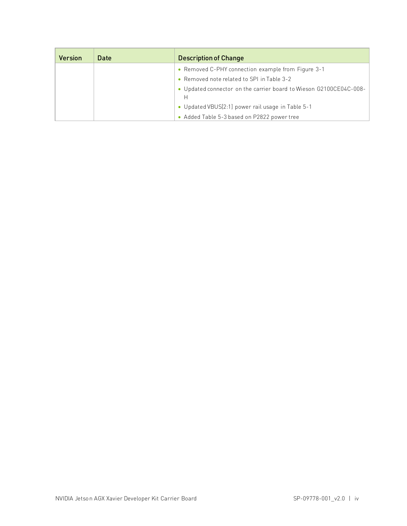| <b>Version</b> | Date | <b>Description of Change</b>                                       |
|----------------|------|--------------------------------------------------------------------|
|                |      | • Removed C-PHY connection example from Figure 3-1                 |
|                |      | • Removed note related to SPI in Table 3-2                         |
|                |      | • Updated connector on the carrier board to Wieson G2100CE04C-008- |
|                |      |                                                                    |
|                |      | • Updated VBUS[2:1] power rail usage in Table 5-1                  |
|                |      | • Added Table 5-3 based on P2822 power tree                        |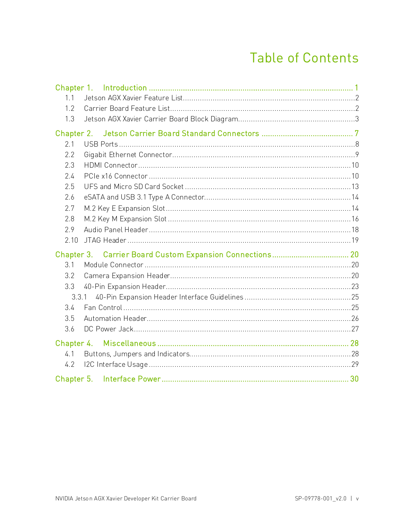### **Table of Contents**

| 1.1        |       |  |
|------------|-------|--|
| 1.2        |       |  |
| 1.3        |       |  |
| Chapter 2. |       |  |
| 2.1        |       |  |
| 2.2        |       |  |
| 2.3        |       |  |
| 2.4        |       |  |
| 2.5        |       |  |
| 2.6        |       |  |
| 2.7        |       |  |
| 2.8        |       |  |
| 2.9        |       |  |
| 2.10       |       |  |
|            |       |  |
| 3.1        |       |  |
| 3.2        |       |  |
| 3.3        |       |  |
|            | 3.3.1 |  |
| 3.4        |       |  |
| 3.5        |       |  |
| 3.6        |       |  |
| Chapter 4. |       |  |
| 4.1        |       |  |
|            |       |  |
| 4.2        |       |  |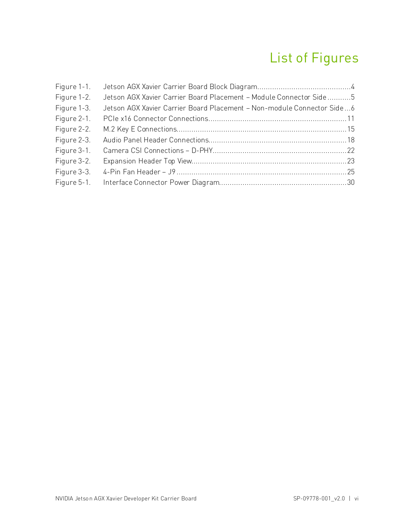## List of Figures

| Figure 1-1. |                                                                        |  |
|-------------|------------------------------------------------------------------------|--|
| Figure 1-2. | Jetson AGX Xavier Carrier Board Placement - Module Connector Side5     |  |
| Figure 1-3. | Jetson AGX Xavier Carrier Board Placement - Non-module Connector Side6 |  |
| Figure 2-1. |                                                                        |  |
| Figure 2-2. |                                                                        |  |
| Figure 2-3. |                                                                        |  |
| Figure 3-1. |                                                                        |  |
| Figure 3-2. |                                                                        |  |
| Figure 3-3. |                                                                        |  |
| Figure 5-1. |                                                                        |  |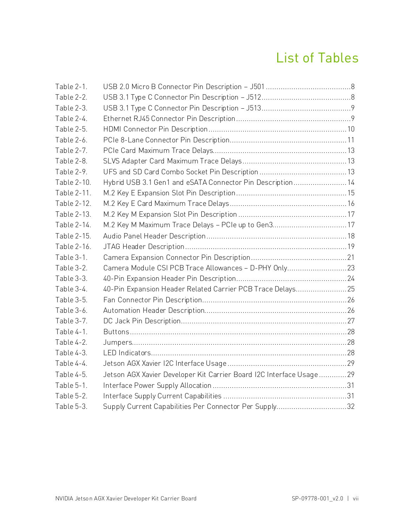### List of Tables

| Table 2-1.  |                                                                     |  |
|-------------|---------------------------------------------------------------------|--|
| Table 2-2.  |                                                                     |  |
| Table 2-3.  |                                                                     |  |
| Table 2-4.  |                                                                     |  |
| Table 2-5.  |                                                                     |  |
| Table 2-6.  |                                                                     |  |
| Table 2-7.  |                                                                     |  |
| Table 2-8.  |                                                                     |  |
| Table 2-9.  |                                                                     |  |
| Table 2-10. | Hybrid USB 3.1 Gen1 and eSATA Connector Pin Description14           |  |
| Table 2-11. |                                                                     |  |
| Table 2-12. |                                                                     |  |
| Table 2-13. |                                                                     |  |
| Table 2-14. | M.2 Key M Maximum Trace Delays - PCIe up to Gen317                  |  |
| Table 2-15. |                                                                     |  |
| Table 2-16. |                                                                     |  |
| Table 3-1.  |                                                                     |  |
| Table 3-2.  | Camera Module CSI PCB Trace Allowances - D-PHY Only23               |  |
| Table 3-3.  |                                                                     |  |
| Table 3-4.  | 40-Pin Expansion Header Related Carrier PCB Trace Delays25          |  |
| Table 3-5.  |                                                                     |  |
| Table 3-6.  |                                                                     |  |
| Table 3-7.  |                                                                     |  |
| Table 4-1.  |                                                                     |  |
| Table 4-2.  |                                                                     |  |
| Table 4-3.  |                                                                     |  |
| Table 4-4.  |                                                                     |  |
| Table 4-5.  | Jetson AGX Xavier Developer Kit Carrier Board I2C Interface Usage29 |  |
| Table 5-1.  |                                                                     |  |
| Table 5-2.  |                                                                     |  |
| Table 5-3.  | Supply Current Capabilities Per Connector Per Supply32              |  |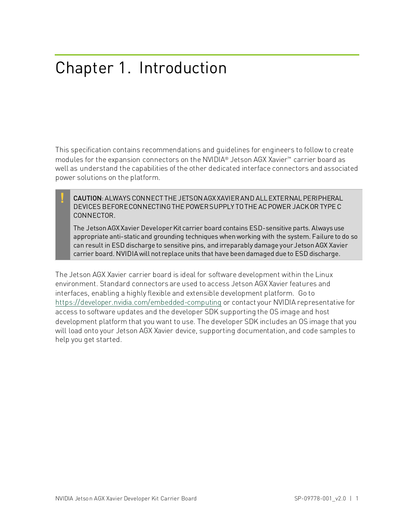## <span id="page-7-0"></span>Chapter 1. Introduction

This specification contains recommendations and guidelines for engineers to follow to create modules for the expansion connectors on the NVIDIA® Jetson AGX Xavier™ carrier board as well as understand the capabilities of the other dedicated interface connectors and associated power solutions on the platform.

**!** CAUTION: ALWAYS CONNECT THE JETSON AGX XAVIER AND ALL EXTERNAL PERIPHERAL DEVICES BEFORE CONNECTING THE POWER SUPPLY TO THE AC POWER JACK OR TYPE C CONNECTOR.

The Jetson AGX Xavier Developer Kit carrier board contains ESD-sensitive parts. Always use appropriate anti-static and grounding techniques when working with the system. Failure to do so can result in ESD discharge to sensitive pins, and irreparably damage your Jetson AGX Xavier carrier board. NVIDIA will not replace units that have been damaged due to ESD discharge.

The Jetson AGX Xavier carrier board is ideal for software development within the Linux environment. Standard connectors are used to access Jetson AGX Xavier features and interfaces, enabling a highly flexible and extensible development platform. Go to <https://developer.nvidia.com/embedded-computing> or contact your NVIDIA representative for access to software updates and the developer SDK supporting the OS image and host development platform that you want to use. The developer SDK includes an OS image that you will load onto your Jetson AGX Xavier device, supporting documentation, and code samples to help you get started.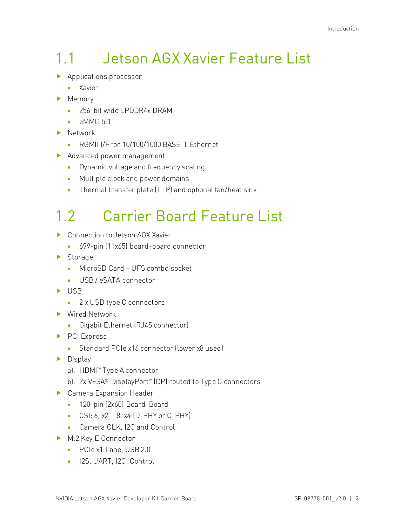# <span id="page-8-0"></span>1.1 Jetson AGX Xavier Feature List

- **Applications processor** 
	- Xavier
- Memory
	- 256-bit wide LPDDR4x DRAM
	- $\bullet$  eMMC 5.1
- Network
	- RGMII I/F for 10/100/1000 BASE-T Ethernet
- Advanced power management
	- Dynamic voltage and frequency scaling
	- Multiple clock and power domains
	- Thermal transfer plate (TTP) and optional fan/heat sink

# <span id="page-8-1"></span>1.2 Carrier Board Feature List

- ▶ Connection to Jetson AGX Xavier
	- 699-pin (11x65) board-board connector
- Storage
	- MicroSD Card + UFS combo socket
	- USB / eSATA connector
- $\blacktriangleright$  USB
	- 2 x USB type C connectors
- ▶ Wired Network
	- Gigabit Ethernet (RJ45 connector)
- PCI Express
	- Standard PCIe x16 connector (lower x8 used)
- $\blacktriangleright$  Display
	- a). HDMI™ Type A connector
	- b). 2x VESA® DisplayPort™ (DP) routed to Type C connectors
- ▶ Camera Expansion Header
	- 120-pin (2x60) Board-Board
	- CSI: 6,  $x^2 8$ ,  $x^4$  (D-PHY or C-PHY)
	- Camera CLK, I2C and Control
- M.2 Key E Connector
	- PCIe x1 Lane, USB 2.0
	- I2S, UART, I2C, Control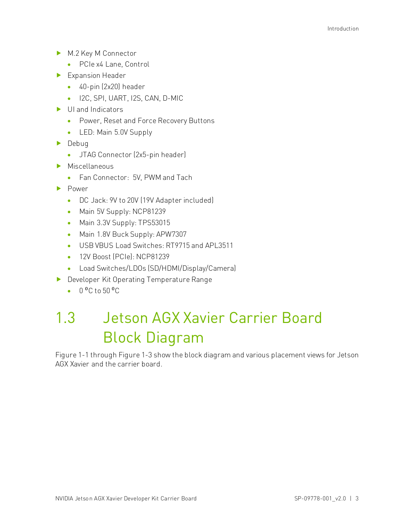- M.2 Key M Connector
	- PCIe x4 Lane, Control
- Expansion Header
	- 40-pin (2x20) header
	- I2C, SPI, UART, I2S, CAN, D-MIC
- UI and Indicators
	- Power, Reset and Force Recovery Buttons
	- LED: Main 5.0V Supply
- $\blacktriangleright$  Debug
	- JTAG Connector (2x5-pin header)
- Miscellaneous
	- Fan Connector: 5V, PWM and Tach
- **Power** 
	- DC Jack: 9V to 20V (19V Adapter included)
	- Main 5V Supply: NCP81239
	- Main 3.3V Supply: TPS53015
	- Main 1.8V Buck Supply: APW7307
	- USB VBUS Load Switches: RT9715 and APL3511
	- 12V Boost (PCIel: NCP81239
	- Load Switches/LDOs (SD/HDMI/Display/Camera)
- Developer Kit Operating Temperature Range
	- $0 \, {}^{0}C$  to 50  ${}^{0}C$

## <span id="page-9-0"></span>1.3 Jetson AGX Xavier Carrier Board Block Diagram

[Figure 1-1](#page-10-0) throug[h Figure 1-3](#page-12-0) show the block diagram and various placement views for Jetson AGX Xavier and the carrier board.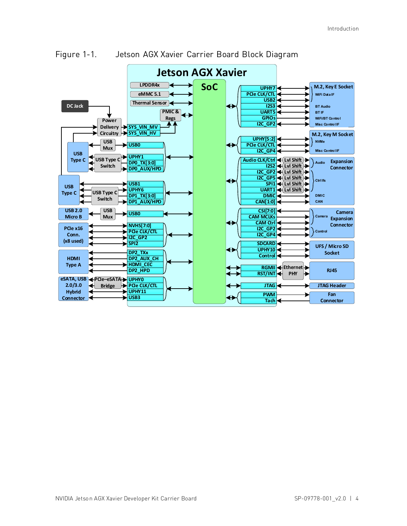

<span id="page-10-0"></span>Figure 1-1. Jetson AGX Xavier Carrier Board Block Diagram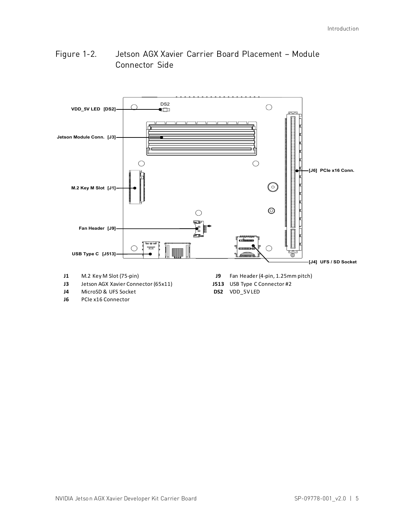### <span id="page-11-0"></span>Figure 1-2. Jetson AGX Xavier Carrier Board Placement – Module Connector Side



- 
- **J3** Jetson AGX Xavier Connector (65x11) **J513** USB Type C Connector #2
- **J4** MicroSD & UFS Socket **DS2** VDD\_5V LED
- **J6** PCIe x16 Connector
- **J1** M.2 Key M Slot (75-pin) **J9** Fan Header (4-pin, 1.25mm pitch)
	-
	-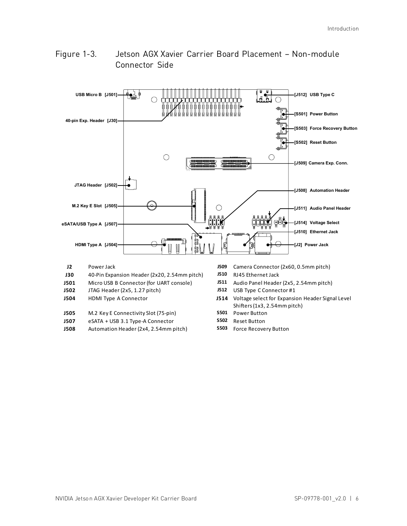### <span id="page-12-0"></span>Figure 1-3. Jetson AGX Xavier Carrier Board Placement – Non-module Connector Side

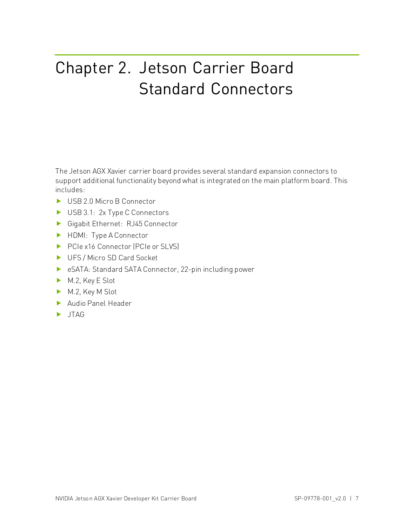# <span id="page-13-0"></span>Chapter 2. Jetson Carrier Board Standard Connectors

The Jetson AGX Xavier carrier board provides several standard expansion connectors to support additional functionality beyond what is integrated on the main platform board. This includes:

- USB 2.0 Micro B Connector
- USB 3.1: 2x Type C Connectors
- Gigabit Ethernet: RJ45 Connector
- HDMI: Type A Connector
- ▶ PCIe x16 Connector (PCIe or SLVS)
- UFS / Micro SD Card Socket
- eSATA: Standard SATA Connector, 22-pin including power
- M.2, Key E Slot
- M.2, Key M Slot
- Audio Panel Header
- $\blacktriangleright$  JTAG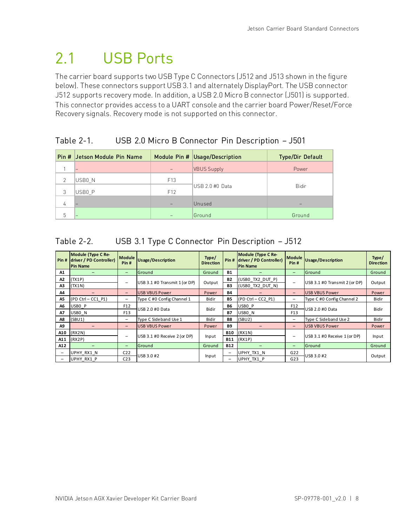## <span id="page-14-0"></span>2.1 USB Ports

The carrier board supports two USB Type C Connectors (J512 and J513 shown in the figure below). These connectors support USB 3.1 and alternately DisplayPort. The USB connector J512 supports recovery mode. In addition, a USB 2.0 Micro B connector (J501) is supported. This connector provides access to a UART console and the carrier board Power/Reset/Force Recovery signals. Recovery mode is not supported on this connector.

### <span id="page-14-1"></span>Table 2-1. USB 2.0 Micro B Connector Pin Description – J501

|               | Pin # Jetson Module Pin Name |                 | Module Pin # Usage/Description | <b>Type/Dir Default</b> |  |
|---------------|------------------------------|-----------------|--------------------------------|-------------------------|--|
|               | -                            |                 | <b>VBUS Supply</b>             | Power                   |  |
| $\mathcal{P}$ | USB0 N                       | F <sub>13</sub> |                                |                         |  |
| 3             | USB0 P                       | F <sub>12</sub> | IUSB 2.0 #0 Data               | <b>Bidir</b>            |  |
| 4             |                              |                 | Unused                         |                         |  |
| 5             |                              |                 | Ground                         | Ground                  |  |

### <span id="page-14-2"></span>Table 2-2. USB 3.1 Type C Connector Pin Description – J512

|                          | Module (Type C Re-<br>Pin # driver / PD Controller)<br><b>Pin Name</b> | <b>Module</b><br>Pin#    | <b>Usage/Description</b>      | Type/<br><b>Direction</b> |                          | Module (Type C Re-<br>Pin # driver / PD Controller)<br><b>Pin Name</b> | <b>Module</b><br>Pin#    | <b>Usage/Description</b>      | Type/<br><b>Direction</b> |
|--------------------------|------------------------------------------------------------------------|--------------------------|-------------------------------|---------------------------|--------------------------|------------------------------------------------------------------------|--------------------------|-------------------------------|---------------------------|
| A1                       |                                                                        | -                        | Ground                        | Ground                    | <b>B1</b>                |                                                                        | -                        | <b>I</b> Ground               | Ground                    |
| A2<br>A3                 | (TX1P)<br>(TX1N)                                                       | -                        | USB 3.1 #0 Transmit 1 (or DP) | Output                    | <b>B2</b><br>B3          | (USBO TX2 DUT P)<br>(USBO TX2 DUT N)                                   |                          | USB 3.1 #0 Transmit 2 (or DP) | Output                    |
| A4                       |                                                                        | $\overline{\phantom{0}}$ | <b>USB VBUS Power</b>         | Power                     | <b>B4</b>                |                                                                        | -                        | <b>USB VBUS Power</b>         | <b>Power</b>              |
| A5                       | $(PD CtrI - CC1 P1)$                                                   | -                        | Type C #0 Config Channel 1    | <b>Bidir</b>              | <b>B5</b>                | (PD Ctrl - CC2 P1)                                                     | -                        | Type C #0 Config Channel 2    | <b>Bidir</b>              |
| A6                       | USBO P                                                                 | F12                      |                               |                           | <b>B6</b>                | USBO P                                                                 | F <sub>12</sub>          |                               |                           |
| Α7                       | USBO N                                                                 | F <sub>13</sub>          | USB 2.0 #0 Data               | <b>Bidir</b>              | <b>B7</b>                | USBO N                                                                 | F13                      | USB 2.0 #0 Data               | <b>Bidir</b>              |
| Α8                       | (SBU1)                                                                 | -                        | Type C Sideband Use 1         | <b>Bidir</b>              | <b>B8</b><br>(SBU2)      |                                                                        | $\overline{\phantom{0}}$ | Type C Sideband Use 2         | <b>Bidir</b>              |
| A9                       |                                                                        | -                        | <b>USB VBUS Power</b>         | Power                     | <b>B</b> 9               |                                                                        | -                        | <b>USB VBUS Power</b>         | Power                     |
| A10                      | (RX2N)                                                                 |                          |                               |                           | <b>B10</b>               | (RX1N)                                                                 |                          |                               |                           |
| A11                      | (RX2P)                                                                 | -                        | USB 3.1 #0 Receive 2 (or DP)  | Input                     | <b>B11</b>               | (RX1P)                                                                 |                          | USB 3.1 #0 Receive 1 (or DP)  | Input                     |
| A12                      |                                                                        | -                        | Ground                        | Ground                    | <b>B12</b>               |                                                                        | -                        | Ground                        | Ground                    |
| $\overline{\phantom{0}}$ | UPHY RX1 N                                                             | C <sub>22</sub>          |                               |                           | $\overline{\phantom{0}}$ | UPHY TX1 N                                                             | G22                      |                               |                           |
|                          | UPHY RX1 P                                                             | C <sub>23</sub>          | USB 3.0 #2                    | Input                     |                          | UPHY TX1 P                                                             | G23                      | USB 3.0 #2                    | Output                    |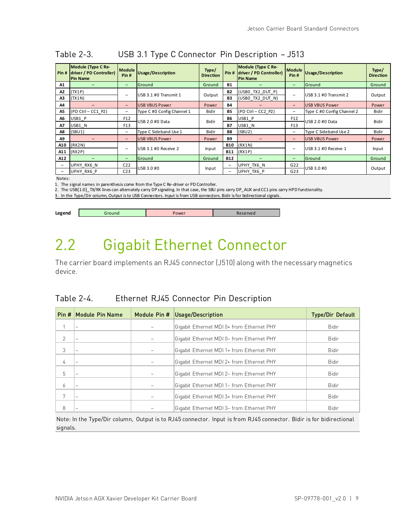| Pin# | Module (Type C Re-<br>driver / PD Controller)<br><b>Pin Name</b> | <b>Module</b><br>Pin# | Usage/Description          | Type/<br><b>Direction</b> | Pin#       | Module (Type C Re-<br>driver / PD Controller)<br><b>Pin Name</b> | <b>Module</b><br>Pin# | <b>Usage/Description</b>   | Type/<br><b>Direction</b> |
|------|------------------------------------------------------------------|-----------------------|----------------------------|---------------------------|------------|------------------------------------------------------------------|-----------------------|----------------------------|---------------------------|
| A1   |                                                                  | -                     | Ground                     | Ground                    | <b>B1</b>  |                                                                  | -                     | Ground                     | Ground                    |
| A2   | (TX1P)                                                           | -                     | USB 3.1 #0 Transmit 1      |                           | <b>B2</b>  | (USBO TX2 DUT P)                                                 | -                     | USB 3.1 #0 Transmit 2      |                           |
| A3   | (TX1N)                                                           |                       |                            | Output                    | B3         | (USBO TX2 DUT N)                                                 |                       |                            | Output                    |
| A4   | $\overline{\phantom{0}}$                                         | -                     | <b>USB VBUS Power</b>      | Power                     | B4         |                                                                  | -                     | <b>USB VBUS Power</b>      | Power                     |
| A5   | $(PD CtrI - CC1 P2)$                                             | -                     | Type C #0 Config Channel 1 | <b>Bidir</b>              | B5         | (PD Ctrl - CC2 P2)                                               | -                     | Type C #0 Config Channel 2 | <b>Bidir</b>              |
| A6   | USB1 P                                                           | F12                   |                            | <b>Bidir</b>              | <b>B6</b>  | USB1 P                                                           | F <sub>12</sub>       |                            |                           |
| Α7   | USB1 N                                                           | F <sub>13</sub>       | USB 2.0 #0 Data            |                           | B7         | USB1 N                                                           | F13                   | USB 2.0 #0 Data            | <b>Bidir</b>              |
| A8   | (SBU1)                                                           | -                     | Type C Sideband Use 1      | <b>Bidir</b>              | <b>B8</b>  | (SBU2)                                                           | -                     | Type C Sideband Use 2      | <b>Bidir</b>              |
| A9   |                                                                  | -                     | <b>USB VBUS Power</b>      | Power                     | <b>B9</b>  |                                                                  | -                     | <b>USB VBUS Power</b>      | Power                     |
| A10  | (RX2N)                                                           |                       |                            |                           | <b>B10</b> | (RX1N)                                                           |                       |                            |                           |
|      | A11   (RX2P)                                                     |                       | USB 3.1 #0 Receive 2       | Input                     | <b>B11</b> | (RX1P)                                                           |                       | USB 3.1 #0 Receive 1       | Input                     |
| A12  |                                                                  | -                     | Ground                     | Ground                    | <b>B12</b> |                                                                  | -                     | Ground                     | Ground                    |
| -    | UPHY RX6 N                                                       | C <sub>22</sub>       |                            |                           | -          | UPHY TX6 N                                                       | G22                   |                            |                           |
|      | UPHY RX6 P                                                       | C <sub>23</sub>       | USB 3.0 #0                 | Input                     | -          | UPHY TX6 P                                                       | G23                   | USB 3.0 #0                 | Output                    |

### <span id="page-15-2"></span>Table 2-3. USB 3.1 Type C Connector Pin Description – J513

Notes:

1. The signal names in parenthesis come from the Type C Re-driver or PD Controller.

2. The USB[1:0]\_TX/RX lines can alternately carry DP signaling. In that case, the SBU pins carry DP\_AUX and CC1 pins carry HPD functionality.

3. In the Type/Dir column, Output is to USB Connectors. Input is from USB connectors. Bidir is for bidirectional signals.

<span id="page-15-1"></span>

|  | Legend | around | 'ower | served. |
|--|--------|--------|-------|---------|
|--|--------|--------|-------|---------|

## 2.2 Gigabit Ethernet Connector

The carrier board implements an RJ45 connector (J510) along with the necessary magnetics device.

### <span id="page-15-0"></span>Table 2-4. Ethernet RJ45 Connector Pin Description

| Pin #          | Module Pin Name | Module Pin # | Usage/Description                         | <b>Type/Dir Default</b> |
|----------------|-----------------|--------------|-------------------------------------------|-------------------------|
|                |                 |              | Gigabit Ethernet MDI 0+ from Ethernet PHY | <b>Bidir</b>            |
| $\mathfrak{D}$ |                 |              | Gigabit Ethernet MDI 0- from Ethernet PHY | <b>Bidir</b>            |
| 3              |                 |              | Gigabit Ethernet MDI 1+ from Ethernet PHY | <b>Bidir</b>            |
| 4              |                 |              | Gigabit Ethernet MDI 2+ from Ethernet PHY | <b>Bidir</b>            |
| 5              |                 |              | Gigabit Ethernet MDI 2- from Ethernet PHY | <b>Bidir</b>            |
| 6              |                 |              | Gigabit Ethernet MDI 1- from Ethernet PHY | <b>Bidir</b>            |
| 7              |                 |              | Gigabit Ethernet MDI 3+ from Ethernet PHY | <b>Bidir</b>            |
| 8              |                 |              | Gigabit Ethernet MDI 3– from Ethernet PHY | <b>Bidir</b>            |

Note: In the Type/Dir column, Output is to RJ45 connector. Input is from RJ45 connector. Bidir is for bidirectional signals.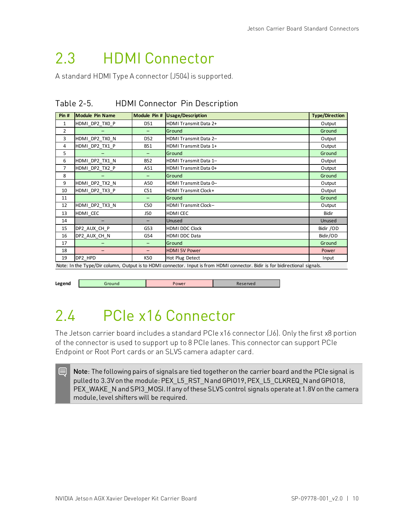## <span id="page-16-0"></span>2.3 HDMI Connector

<span id="page-16-2"></span>A standard HDMI Type A connector (J504) is supported.

| Pin #          | <b>Module Pin Name</b> | Module Pin #    | Usage/Description           | <b>Type/Direction</b> |
|----------------|------------------------|-----------------|-----------------------------|-----------------------|
| $\mathbf{1}$   | HDMI DP2 TX0 P         | D51             | HDMI Transmit Data 2+       | Output                |
| $\overline{2}$ |                        | Ξ.              | Ground                      | Ground                |
| 3              | HDMI DP2 TX0 N         | D <sub>52</sub> | HDMI Transmit Data 2-       | Output                |
| 4              | HDMI DP2 TX1 P         | <b>B51</b>      | HDMI Transmit Data 1+       | Output                |
| 5              |                        |                 | Ground                      | Ground                |
| 6              | HDMI DP2 TX1 N         | <b>B52</b>      | HDMI Transmit Data 1-       | Output                |
| $\overline{7}$ | HDMI DP2 TX2 P         | A51             | HDMI Transmit Data 0+       | Output                |
| 8              |                        |                 | Ground                      | Ground                |
| 9              | HDMI_DP2_TX2_N         | A50             | HDMI Transmit Data 0-       | Output                |
| 10             | HDMI DP2 TX3 P         | C51             | <b>HDMI Transmit Clock+</b> | Output                |
| 11             |                        |                 | Ground                      | Ground                |
| 12             | HDMI DP2 TX3 N         | C50             | <b>HDMI Transmit Clock-</b> | Output                |
| 13             | HDMI CEC               | J50             | HDMI CEC                    | <b>Bidir</b>          |
| 14             |                        |                 | Unused                      | Unused                |
| 15             | DP2_AUX_CH_P           | G53             | HDMI DDC Clock              | Bidir /OD             |
| 16             | DP2 AUX CH N           | G54             | <b>HDMI DDC Data</b>        | Bidir/OD              |
| 17             |                        |                 | Ground                      | Ground                |
| 18             | -                      |                 | <b>HDMI 5V Power</b>        | Power                 |
| 19             | DP2 HPD                | K50             | Hot Plug Detect             | Input                 |

Table 2-5. HDMI Connector Pin Description

Note: In the Type/Dir column, Output is to HDMI connector. Input is from HDMI connector. Bidir is for bidirectional signals.

<span id="page-16-1"></span>

18

**Legend Cround Text** Power **Reserved** 

# 2.4 PCIe x16 Connector

The Jetson carrier board includes a standard PCIe x16 connector (J6). Only the first x8 portion of the connector is used to support up to 8 PCIe lanes. This connector can support PCIe Endpoint or Root Port cards or an SLVS camera adapter card.

Note: The following pairs of signals are tied together on the carrier board and the PCIe signal is pulled to 3.3V on the module: PEX\_L5\_RST\_N and GPIO19, PEX\_L5\_CLKREQ\_N and GPIO18, PEX\_WAKE\_N and SPI3\_MOSI. If any of these SLVS control signals operate at 1.8V on the camera module, level shifters will be required.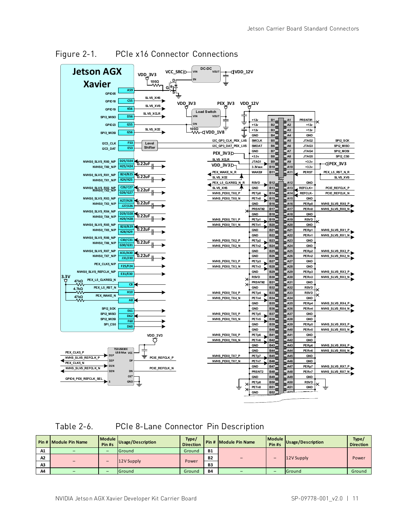

<span id="page-17-0"></span>Figure 2-1. PCIe x16 Connector Connections

<span id="page-17-1"></span>Table 2-6. PCIe 8-Lane Connector Pin Description

|    | Pin # Module Pin Name | Module  <br>Pin #s | Usage/Description | Type/<br><b>Direction</b> |           | Pin # Module Pin Name | <b>Module</b><br>Pin#s | Usage/Description | Type/<br><b>Direction</b> |
|----|-----------------------|--------------------|-------------------|---------------------------|-----------|-----------------------|------------------------|-------------------|---------------------------|
| A1 |                       |                    | Ground            | Ground                    | <b>B1</b> |                       |                        |                   |                           |
| A2 |                       |                    |                   |                           | <b>B2</b> |                       | -                      | 12V Supply        | Power                     |
| A3 |                       | -                  | 12V Supply        | Power                     | B3        |                       |                        |                   |                           |
| A4 |                       |                    | Ground            | Ground                    | <b>B4</b> |                       | -                      | Ground            | Ground                    |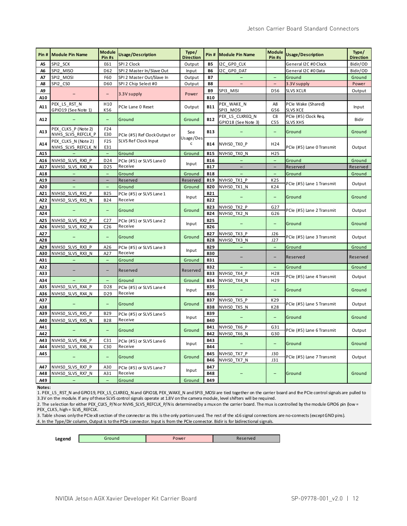| Pin#       | <b>Module Pin Name</b>                    | Module<br>Pin #s                   | Usage/Description                   | Type/<br><b>Direction</b> | Pin#                     | <b>Module Pin Name</b>                 | <b>Module</b><br>Pin #s  | Usage/Description                       | Type/<br><b>Direction</b> |
|------------|-------------------------------------------|------------------------------------|-------------------------------------|---------------------------|--------------------------|----------------------------------------|--------------------------|-----------------------------------------|---------------------------|
| A5         | SPI2 SCK                                  | E61                                | SPI 2 Clock                         | Output                    | <b>B5</b>                | I2C GPO CLK                            |                          | General I2C #0 Clock                    | Bidir/OD                  |
| A6         | SPI2 MISO                                 | D <sub>62</sub>                    | SPI 2 Master In/Slave Out           | Input                     | <b>B6</b>                | I2C GPO DAT                            |                          | General I2C #0 Data                     | Bidir/OD                  |
| A7         | SPI2 MOSI                                 | F60                                | SPI 2 Master Out/Slave In           | Output                    | <b>B7</b>                |                                        |                          | Ground                                  | Ground                    |
| A8         | SPI2 CSO                                  | D60                                | SPI 2 Chip Select #0                | Output                    | <b>B8</b>                |                                        | $\equiv$                 | 3.3V supply                             | Power                     |
| Α9         |                                           |                                    |                                     |                           | <b>B9</b>                | SPI3 MISI                              | D <sub>56</sub>          | <b>SLVS XCLR</b>                        | Output                    |
| A10        |                                           | $\qquad \qquad -$                  | 3.3V supply                         | Power                     | <b>B10</b>               |                                        |                          |                                         |                           |
| A11        | PEX L5 RST N<br>GPIO19 (See Note 1)       | H <sub>10</sub><br>K56             | PCIe Lane 0 Reset                   | Output                    | <b>B11</b>               | PEX_WAKE_N<br>SPI3 MOSI                | A8<br>G56                | PCIe Wake (Shared)<br>SLVS XCE          | Input                     |
| A12        |                                           | $\equiv$                           | Ground                              | Ground                    | <b>B12</b>               | PEX L5 CLKREQ N<br>GPIO18 (See Note 3) | C <sub>8</sub><br>C55    | PCIe (#5) Clock Req.<br><b>SLVS XHS</b> | Bidir                     |
| A13        | PEX CLK5 P (Note 2)<br>NVHS SLVS REFCLK P | F <sub>24</sub><br>E30             | PCIe (#5) Ref Clock Output or       | See                       | <b>B13</b>               |                                        |                          | Ground                                  | Ground                    |
| A14        | PEX CLK5 N (Note 2)<br>NVHS SLVS REFCLK N | F <sub>25</sub><br>E31             | SLVS Ref Clock Input                | Usage/Des<br>$\mathsf{C}$ | <b>B14</b>               | NVHSO_TXO_P                            | H24                      | PCIe (#5) Lane 0 Transmit               | Output                    |
| A15        |                                           | $\equiv$                           | Ground                              | Ground                    | <b>B15</b>               | NVHSO TXO N                            | H <sub>25</sub>          |                                         |                           |
| A16        | NVHSO SLVS RXO P                          | D24                                | PCle (#5) or SLVS Lane 0            | Input                     | <b>B16</b>               |                                        | $\equiv$                 | Ground                                  | Ground                    |
| A17        | NVHSO SLVS RXO N                          | D <sub>25</sub>                    | Receive                             |                           | <b>B17</b>               | $\equiv$                               | $\overline{\phantom{0}}$ | Reserved                                | Reserved                  |
| A18        | L.                                        | $\equiv$                           | Ground                              | Ground                    | <b>B18</b>               |                                        | $\equiv$                 | Ground                                  | Ground                    |
| A19        | $\overline{\phantom{a}}$                  | $\overline{\phantom{a}}$           | Reserved                            | Reserved                  | <b>B19</b>               | NVHSO TX1 P                            | K25                      |                                         |                           |
| A20        |                                           | $\overline{a}$                     | Ground                              | Ground                    | <b>B20</b>               | NVHSO TX1 N                            | K24                      | PCle (#5) Lane 1 Transmit               | Output                    |
| A21        | NVHSO SLVS RX1 P                          | <b>B25</b>                         | PCle (#5) or SLVS Lane 1            |                           | <b>B21</b>               |                                        | $\equiv$                 |                                         |                           |
| A22        | NVHSO SLVS RX1 N                          | <b>B24</b>                         | Receive                             | Input                     | <b>B22</b>               |                                        |                          | Ground                                  | Ground                    |
| A23<br>A24 | $\qquad \qquad -$                         | $\overline{\phantom{0}}$           | Ground                              | Ground                    | <b>B23</b><br><b>B24</b> | NVHSO TX2 P<br>NVHSO_TX2_N             | G <sub>27</sub><br>G26   | PCle (#5) Lane 2 Transmit               | Output                    |
| A25<br>A26 | NVHSO SLVS RX2 P<br>NVHSO SLVS RX2 N      | C <sub>27</sub><br>C <sub>26</sub> | PCle (#5) or SLVS Lane 2<br>Receive | Input                     | <b>B25</b><br><b>B26</b> |                                        |                          | Ground                                  | Ground                    |
| A27<br>A28 | $\qquad \qquad -$                         | -                                  | Ground                              | Ground                    | <b>B27</b><br><b>B28</b> | NVHSO TX3 P<br>NVHSO TX3 N             | J26<br>J27               | PCIe (#5) Lane 3 Transmit               | Output                    |
| A29        | NVHSO SLVS RX3 P                          | A26                                | PCle (#5) or SLVS Lane 3            |                           | <b>B29</b>               | $\equiv$                               | $\overline{\phantom{a}}$ | Ground                                  | Ground                    |
| A30        | NVHSO SLVS RX3 N                          | A27                                | Receive                             | Input                     | <b>B30</b>               |                                        |                          |                                         |                           |
| A31        | $\qquad \qquad -$                         | $\overline{\phantom{m}}$           | Ground                              | Ground                    | <b>B31</b>               |                                        | -                        | Reserved                                | Reserved                  |
| A32        |                                           |                                    |                                     |                           | <b>B32</b>               |                                        | $\overline{\phantom{0}}$ | Ground                                  | Ground                    |
| A33        |                                           | $\overline{\phantom{0}}$           | Reserved                            | Reserved                  | <b>B33</b>               | NVHSO TX4 P                            | H28                      |                                         |                           |
| A34        |                                           |                                    | Ground                              | Ground                    | <b>B34</b>               | NVHSO TX4 N                            | H29                      | PCle (#5) Lane 4 Transmit               | Output                    |
| A35        | NVHSO SLVS RX4 P                          | D28                                | PCle (#5) or SLVS Lane 4            |                           | <b>B35</b>               |                                        |                          |                                         |                           |
| A36        | NVHSO SLVS RX4 N                          | D <sub>29</sub>                    | Receive                             | Input                     | <b>B36</b>               |                                        | $\equiv$                 | Ground                                  | Ground                    |
| A37        |                                           |                                    |                                     |                           | <b>B37</b>               | NVHSO_TX5_P                            | K29                      |                                         |                           |
| A38        |                                           | -                                  | Ground                              | Ground                    | <b>B38</b>               | NVHSO_TX5_N                            | K28                      | PCIe (#5) Lane 5 Transmit               | Output                    |
| A39        | NVHSO SLVS RX5 P                          | <b>B29</b>                         | PCle (#5) or SLVS Lane 5            |                           | <b>B39</b>               |                                        |                          |                                         |                           |
| A40        | NVHSO_SLVS_RX5 N                          | <b>B28</b>                         | Receive                             | Input                     | <b>B40</b>               |                                        | -                        | Ground                                  | Ground                    |
| A41        |                                           |                                    |                                     |                           | <b>B41</b>               | NVHSO TX6 P                            | G31                      |                                         |                           |
| A42        |                                           | ÷,                                 | Ground                              | Ground                    | <b>B42</b>               | NVHSO TX6 N                            | G30                      | PCle (#5) Lane 6 Transmit               | Output                    |
| A43        | NVHSO SLVS RX6 P                          | C <sub>31</sub>                    |                                     |                           | <b>B43</b>               |                                        |                          |                                         |                           |
| A44        | NVHSO SLVS RX6 N                          | C30                                | PCle (#5) or SLVS Lane 6<br>Receive | Input                     | <b>B44</b>               |                                        | $\equiv$                 | Ground                                  | Ground                    |
| A45        |                                           | ÷,                                 | Ground                              | Ground                    | <b>B45</b><br><b>B46</b> | NVHSO TX7 P<br>NVHSO TX7 N             | J30<br>J31               | PCle (#5) Lane 7 Transmit               | Output                    |
| A47<br>A48 | NVHSO SLVS RX7 P                          | A30                                | PCle (#5) or SLVS Lane 7<br>Receive | Input                     | <b>B47</b><br><b>B48</b> |                                        |                          |                                         |                           |
|            | NVHSO SLVS RX7 N                          | A31                                |                                     |                           |                          |                                        |                          | Ground                                  | Ground                    |
| A49        | $\qquad \qquad -$                         | ÷,                                 | Ground                              | Ground                    | <b>B49</b>               |                                        |                          |                                         |                           |

**Notes:**

1. PEX\_L5\_RST\_N and GPIO19, PEX\_L5\_CLKREQ\_N and GPIO18, PEX\_WAKE\_N and SPI3\_MOSI are tied together on the carrier board and the PCIe control signals are pulled to 3.3V on the module. If any of these SLVS control signals operate at 1.8V on the camera module, level shifters will be required.

2. The selection for either PEX\_CLK5\_P/N or NVHS\_SLVS\_REFCLK\_P/N is determined by a mux on the carrier board. The mux is controlled by the module GPIO6 pin (low = PEX\_CLK5, high = SLVS\_REFCLK.

3. Table shows only the PCIe x8 section of the connector as this is the only portion used. The rest of the x16 signal connections are no-connects (except GND pins). 4. In the Type/Dir column, Output is to the PCIe connector. Input is from the PCIe connector. Bidir is for bidirectional signals.

**Legend Cround Power Power Reserved**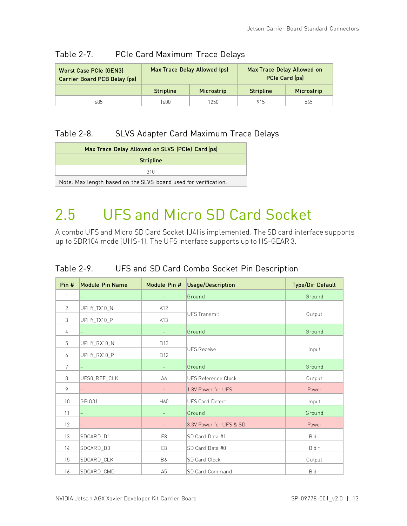| <b>Worst Case PCIe (GEN3)</b><br>Carrier Board PCB Delay (ps) |                  | Max Trace Delay Allowed (ps) | Max Trace Delay Allowed on<br><b>PCIe Card (ps)</b> |            |  |  |
|---------------------------------------------------------------|------------------|------------------------------|-----------------------------------------------------|------------|--|--|
|                                                               | <b>Stripline</b> | Microstrip                   | <b>Stripline</b>                                    | Microstrip |  |  |
| 685.                                                          | 1600.            | 1250                         | 915                                                 | 565        |  |  |

#### <span id="page-19-1"></span>Table 2-7. PCIe Card Maximum Trace Delays

### <span id="page-19-2"></span>Table 2-8. SLVS Adapter Card Maximum Trace Delays

| Max Trace Delay Allowed on SLVS (PCIe) Card (ps)                |  |  |  |  |  |  |
|-----------------------------------------------------------------|--|--|--|--|--|--|
| <b>Stripline</b>                                                |  |  |  |  |  |  |
| 310                                                             |  |  |  |  |  |  |
| Note: Max length based on the SLVS board used for verification. |  |  |  |  |  |  |

## <span id="page-19-0"></span>2.5 UFS and Micro SD Card Socket

A combo UFS and Micro SD Card Socket (J4) is implemented. The SD card interface supports up to SDR104 mode (UHS-1). The UFS interface supports up to HS-GEAR 3.

| Pin#          | <b>Module Pin Name</b> |                          | Module Pin # Usage/Description | <b>Type/Dir Default</b> |
|---------------|------------------------|--------------------------|--------------------------------|-------------------------|
| 1             |                        | Ξ.                       | Ground                         | Ground                  |
| $\mathcal{P}$ | UPHY_TX10_N            | K12                      |                                |                         |
| 3             | UPHY_TX10_P            | K13                      | <b>UFS Transmit</b>            | Output                  |
| 4             |                        |                          | Ground                         | Ground                  |
| 5             | UPHY_RX10_N            | <b>B13</b>               |                                |                         |
| 6             | UPHY_RX10_P            | <b>B12</b>               | <b>UFS Receive</b>             | Input                   |
| 7             |                        |                          | Ground                         | Ground                  |
| 8             | UFS0_REF_CLK           | A6                       | <b>UFS Reference Clock</b>     | Output                  |
| 9             |                        | $\overline{\phantom{0}}$ | 1.8V Power for UFS             | Power                   |
| 10            | GPI031                 | H60                      | <b>UFS Card Detect</b>         | Input                   |
| 11            |                        | $-$                      | Ground                         | Ground                  |
| 12            |                        |                          | 3.3V Power for UFS & SD        | Power                   |
| 13            | SDCARD_D1              | F <sub>8</sub>           | SD Card Data #1                | <b>Bidir</b>            |
| 14            | SDCARD_D0              | E <sub>8</sub>           | SD Card Data #0                | <b>Bidir</b>            |
| 15            | SDCARD_CLK             | <b>B6</b>                | SD Card Clock                  | Output                  |
| 16            | SDCARD CMD             | A <sub>5</sub>           | <b>SD Card Command</b>         | <b>Bidir</b>            |

### <span id="page-19-3"></span>Table 2-9. UFS and SD Card Combo Socket Pin Description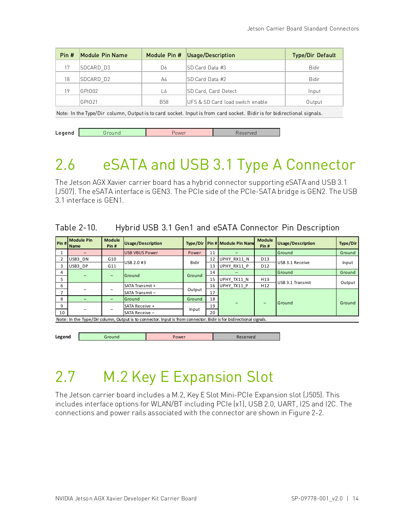| Module Pin Name | Module Pin # | Usage/Description                | <b>Type/Dir Default</b> |
|-----------------|--------------|----------------------------------|-------------------------|
| SDCARD D3       | D6           | ISD Card Data #3                 | <b>Bidir</b>            |
| SDCARD D2       | A4           | ISD Card Data #2                 | <b>Bidir</b>            |
| GPIO02          | L6           | SD Card, Card Detect             | Input                   |
| GPI021          | <b>B58</b>   | UFS & SD Card load switch enable | Output                  |
|                 |              |                                  |                         |

Note: In the Type/Dir column, Output is to card socket. Input is from card socket. Bidir is for bidirectional signals.

<span id="page-20-0"></span>

| eaend<br>-- | pund | ower | - - |
|-------------|------|------|-----|

## 2.6 eSATA and USB 3.1 Type A Connector

The Jetson AGX Xavier carrier board has a hybrid connector supporting eSATA and USB 3.1 (J507). The eSATA interface is GEN3. The PCIe side of the PCIe-SATA bridge is GEN2. The USB 3.1 interface is GEN1.

### <span id="page-20-2"></span>Table 2-10. Hybrid USB 3.1 Gen1 and eSATA Connector Pin Description

| Pin #                    | <b>Module Pin</b><br><b>Name</b> | <b>Module</b><br>Pin# | <b>Usage/Description</b>                                                                                         | Type/Dir     |    | Pin # Module Pin Name | <b>Module</b><br>Pin# | <b>Usage/Description</b> | Type/Dir |    |  |  |        |        |
|--------------------------|----------------------------------|-----------------------|------------------------------------------------------------------------------------------------------------------|--------------|----|-----------------------|-----------------------|--------------------------|----------|----|--|--|--------|--------|
|                          |                                  |                       | <b>USB VBUS Power</b>                                                                                            | Power        | 11 |                       |                       | Ground                   | Ground   |    |  |  |        |        |
| 2                        | USB3 DN                          | G10                   | USB 2.0 #3                                                                                                       | <b>Bidir</b> | 12 | UPHY RX11 N           | D <sub>13</sub>       | USB 3.1 Receive          |          |    |  |  |        |        |
| 3                        | USB3 DP                          | G11                   |                                                                                                                  |              | 13 | UPHY RX11 P           | D <sub>12</sub>       |                          | Input    |    |  |  |        |        |
| 4                        |                                  |                       |                                                                                                                  |              |    |                       |                       |                          |          | 14 |  |  | Ground | Ground |
| 5                        |                                  |                       | Ground                                                                                                           | Ground       | 15 | UPHY TX11 N           | H <sub>13</sub>       |                          |          |    |  |  |        |        |
| 6                        |                                  |                       | SATA Transmit +                                                                                                  |              | 16 | UPHY TX11 P           | H <sub>12</sub>       | USB 3.1 Transmit         | Output   |    |  |  |        |        |
| $\overline{\phantom{a}}$ |                                  |                       | SATA Transmit-                                                                                                   | Output       | 17 |                       |                       |                          |          |    |  |  |        |        |
| 8                        |                                  |                       | Ground                                                                                                           | Ground       | 18 |                       |                       |                          | Ground   |    |  |  |        |        |
| 9                        |                                  |                       | SATA Receive +                                                                                                   | Input        | 19 |                       |                       | Ground                   |          |    |  |  |        |        |
| 10                       |                                  |                       | SATA Receive -                                                                                                   |              | 20 |                       |                       |                          |          |    |  |  |        |        |
|                          |                                  |                       | Note: In the Tyne/Dir column. Output is to connector Input is from connector. Bidir is for hidirectional signals |              |    |                       |                       |                          |          |    |  |  |        |        |

Note: In the Type/Dir column, Output is to connector. Input is from connector. Bidir is for bidirectional signals.

**Legend Cround Power Power Reserved** 

## <span id="page-20-1"></span>2.7 M.2 Key E Expansion Slot

The Jetson carrier board includes a M.2, Key E Slot Mini-PCIe Expansion slot (J505). This includes interface options for WLAN/BT including PCIe (x1), USB 2.0, UART, I2S and I2C. The connections and power rails associated with the connector are shown in [Figure 2-2.](#page-21-0)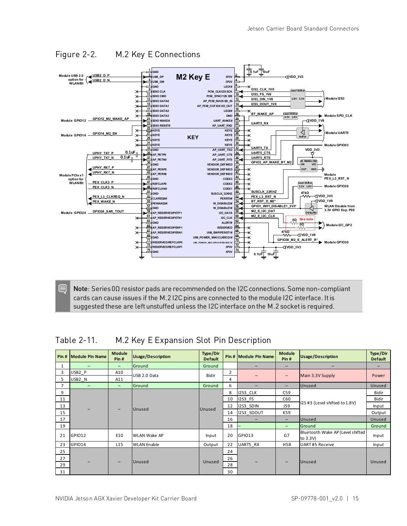

<span id="page-21-0"></span>Figure 2-2. M.2 Key E Connections

Note: Series 0Ω resistor pads are recommended on the I2C connections. Some non-compliant cards can cause issues if the M.2 I2C pins are connected to the module I2C interface. It is suggested these are left unstuffed unless the I2C interface on the M.2 socket is required.

<span id="page-21-1"></span>Table 2-11. M.2 Key E Expansion Slot Pin Description

| Pin# | Module Pin Name          | <b>Module</b><br>Pin# | <b>Usage/Description</b> | Type/Dir<br><b>Default</b> |                | Pin # Module Pin Name    | <b>Module</b><br>Pin#    | <b>Usage/Description</b>                     | Type/Dir<br><b>Default</b> |
|------|--------------------------|-----------------------|--------------------------|----------------------------|----------------|--------------------------|--------------------------|----------------------------------------------|----------------------------|
| 1    | $\overline{\phantom{0}}$ | -                     | Ground                   | Ground                     |                | $\overline{\phantom{0}}$ | $\overline{\phantom{0}}$ | $\overline{\phantom{0}}$                     |                            |
| 3    | USB2 P                   | A10                   | USB 2.0 Data             | <b>Bidir</b>               | $\overline{2}$ |                          |                          |                                              | Power                      |
| 5.   | USB2 N                   | A11                   |                          |                            | 4              |                          | $\qquad \qquad -$        | Main 3.3V Supply                             |                            |
| 7    | $\qquad \qquad -$        | $-$                   | Ground                   | Ground                     | 6              | $\overline{\phantom{0}}$ | $\overline{\phantom{0}}$ | Unused                                       | Unused                     |
| 9    |                          |                       |                          |                            | 8              | I2S3 CLK                 | C59                      |                                              | Bidir                      |
| 11   |                          |                       | Unused<br>-              | Unused                     | 10             | <b>I2S3 FS</b>           | C60                      | I2S #3 (Level shifted to 1.8V)               | Bidir                      |
| 13   |                          |                       |                          |                            | 12             | I2S3 SDIN                | <b>J59</b>               |                                              | Input                      |
| 15   |                          |                       |                          |                            | 14             | I2S3 SDOUT               | K59                      |                                              | Output                     |
| 17   |                          |                       |                          |                            | 16             | $\overline{\phantom{0}}$ | $\overline{\phantom{0}}$ | Unused                                       | Unused                     |
| 19   |                          |                       |                          |                            | 18             |                          | $\overline{\phantom{0}}$ | Ground                                       | Ground                     |
| 21   | GPIO12                   | E10                   | <b>WLAN Wake AP</b>      | Input                      | 20             | GPIO13                   | G7                       | Bluetooth Wake AP (Level shifted<br>to 3.3V) | Input                      |
| 23   | GPIO14                   | L15                   | <b>WLAN Enable</b>       | Output                     | 22             | UART5 RX                 | H58                      | <b>UART#5 Receive</b>                        | Input                      |
| 25   |                          |                       |                          |                            | 24             |                          |                          |                                              |                            |
| 27   |                          |                       |                          |                            | 26             |                          |                          |                                              |                            |
| 29   |                          |                       | Unused                   | Unused                     | 28             |                          |                          | Unused                                       | Unused                     |
| 31   |                          |                       |                          |                            | 30             |                          |                          |                                              |                            |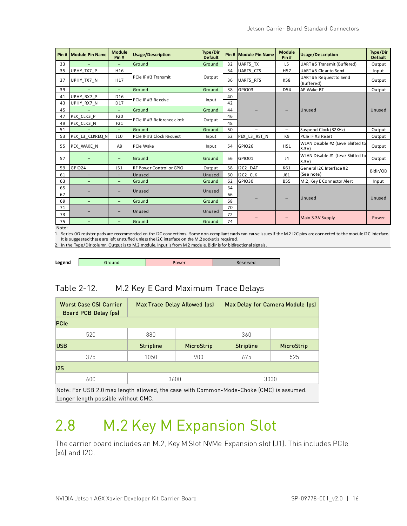| Pin# | Module Pin Name   | <b>Module</b><br>Pin# | <b>Usage/Description</b>   | <b>Type/Dir</b><br><b>Default</b> |    | Pin # Module Pin Name | <b>Module</b><br>Pin#    | <b>Usage/Description</b>                  | <b>Type/Dir</b><br><b>Default</b> |
|------|-------------------|-----------------------|----------------------------|-----------------------------------|----|-----------------------|--------------------------|-------------------------------------------|-----------------------------------|
| 33   | $\qquad \qquad -$ | $\qquad \qquad -$     | Ground                     | Ground                            | 32 | UART5 TX              | L <sub>5</sub>           | UART#5 Transmit (Buffered)                | Output                            |
| 35   | UPHY TX7 P        | H16                   |                            |                                   | 34 | <b>UART5 CTS</b>      | H <sub>57</sub>          | UART#5 Clear to Send                      | Input                             |
| 37   | UPHY TX7 N        | H <sub>17</sub>       | PCIe IF #3 Transmit        | Output                            | 36 | UART5 RTS             | K58                      | UART#5 Request to Send<br>(Buffered)      | Output                            |
| 39   |                   | -                     | Ground                     | Ground                            | 38 | GPIO03                | D54                      | AP Wake BT                                | Output                            |
| 41   | UPHY RX7 P        | D <sub>16</sub>       | PCIe IF #3 Receive         |                                   | 40 |                       |                          |                                           |                                   |
| 43   | UPHY RX7 N        | D17                   |                            | Input                             | 42 |                       |                          |                                           |                                   |
| 45   |                   | $\qquad \qquad -$     | Ground                     | Ground                            | 44 |                       |                          | Unused                                    | Unused                            |
| 47   | PEX CLK3 P        | F20                   |                            |                                   | 46 |                       |                          |                                           |                                   |
| 49   | PEX CLK3 N        | F21                   | PCIe IF #3 Reference clock | Output                            | 48 |                       |                          |                                           |                                   |
| 51   |                   | $\equiv$              | Ground                     | Ground                            | 50 | $\equiv$              | $\overline{\phantom{0}}$ | Suspend Clock (32KHz)                     | Output                            |
| 53   | PEX L3 CLKREQ N   | J10                   | PCIe IF #3 Clock Request   | Input                             | 52 | PEX L3 RST N          | K9                       | PCIe IF #3 Reset                          | Output                            |
| 55   | PEX WAKE N        | A8                    | PCIe Wake                  | Input                             | 54 | <b>GPIO26</b>         | H51                      | WLAN Disable #2 (Level Shifted to<br>3.3V | Output                            |
| 57   |                   | $\qquad \qquad -$     | Ground                     | Ground                            | 56 | GPIO01                | J <sub>4</sub>           | WLAN Disable #1 (Level Shifted to<br>3.3V | Output                            |
| 59   | <b>GPIO24</b>     | J51                   | RF Power Control or GPIO   | Output                            | 58 | I2C2 DAT              | K61                      | General I2C Interface #2                  | Bidir/OD                          |
| 61   |                   | -                     | Unused                     | Unused                            | 60 | I2C2 CLK              | J61                      | (See note)                                |                                   |
| 63   | $-$               | $\qquad \qquad -$     | Ground                     | Ground                            | 62 | <b>GPIO30</b>         | <b>B55</b>               | M.2, Key E Connector Alert                | Input                             |
| 65   |                   |                       |                            |                                   | 64 |                       |                          |                                           |                                   |
| 67   |                   | -                     | Unused                     | Unused                            | 66 |                       |                          |                                           | Unused                            |
| 69   |                   | $\qquad \qquad -$     | Ground                     | Ground                            | 68 |                       |                          | <b>Unused</b>                             |                                   |
| 71   |                   |                       |                            |                                   | 70 |                       |                          |                                           |                                   |
| 73   |                   | -                     | Unused                     | Unused                            | 72 |                       |                          |                                           |                                   |
| 75   |                   | -                     | Ground                     | Ground                            | 74 |                       | -                        | Main 3.3V Supply                          | Power                             |

Note:

1. Series 0Ω resistor pads are recommended on the I2C connections. Some non-compliant cards can cause issues if the M.2 I2C pins are connected to the module I2C interface. It is suggested these are left unstuffed unless the I2C interface on the M.2 socket is required.

In the Type/Dir column, Output is to M.2 module. Input is from M.2 module. Bidir is for bidirectional signals

<span id="page-22-1"></span>

**Legend Cround Text** Power **Reserved** 

### Table 2-12. M.2 Key E Card Maximum Trace Delays

| <b>Worst Case CSI Carrier</b><br>Board PCB Delay (ps) |                  | Max Trace Delay Allowed (ps) | Max Delay for Camera Module (ps) |            |  |  |
|-------------------------------------------------------|------------------|------------------------------|----------------------------------|------------|--|--|
| <b>PCIe</b>                                           |                  |                              |                                  |            |  |  |
| 520                                                   | 880              |                              | 360                              |            |  |  |
| <b>USB</b>                                            | <b>Stripline</b> | MicroStrip                   | <b>Stripline</b>                 | MicroStrip |  |  |
| 375                                                   | 1050             | 900                          | 675                              | 525        |  |  |
| 12S                                                   |                  |                              |                                  |            |  |  |
| 600                                                   | 3600<br>3000     |                              |                                  |            |  |  |

Note: For USB 2.0 max length allowed, the case with Common-Mode-Choke (CMC) is assumed. Longer length possible without CMC.

## <span id="page-22-0"></span>2.8 M.2 Key M Expansion Slot

The carrier board includes an M.2, Key M Slot NVMe Expansion slot (J1). This includes PCIe (x4) and I2C.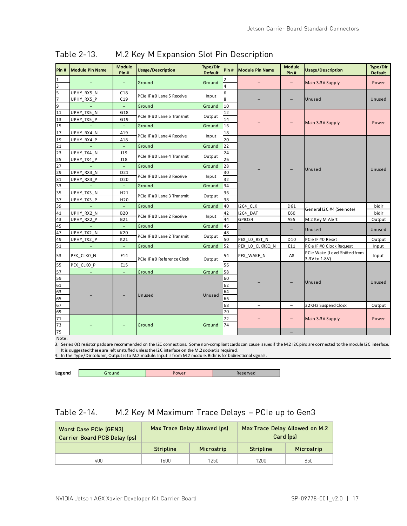| Pin#                         | <b>Module Pin Name</b>   | <b>Module</b><br>Pin#    | <b>Usage/Description</b>   | Type/Dir<br><b>Default</b> | Pin#                | <b>Module Pin Name</b> | <b>Module</b><br>Pin#    | <b>Usage/Description</b>                       | Type/Dir<br><b>Default</b> |
|------------------------------|--------------------------|--------------------------|----------------------------|----------------------------|---------------------|------------------------|--------------------------|------------------------------------------------|----------------------------|
| 1<br>$\overline{\mathbf{3}}$ |                          | $\qquad \qquad -$        | Ground                     | Ground                     | 4                   |                        | $\overline{\phantom{0}}$ | Main 3.3V Supply                               | Power                      |
| 5                            | UPHY RX5 N<br>UPHY RX5 P | C18<br>C19               | PCIe IF #0 Lane 5 Receive  | Input                      | 6<br>$\overline{8}$ |                        |                          | Unused                                         | Unused                     |
| 9                            | $\overline{\phantom{a}}$ | $\overline{\phantom{a}}$ | Ground                     | Ground                     | 10                  |                        |                          |                                                |                            |
| 11                           | UPHY TX5 N               | G18                      |                            |                            | 12                  |                        |                          |                                                | Power                      |
| 13                           | UPHY TX5 P               | G19                      | PCIe IF #0 Lane 5 Transmit | Output                     | 14                  |                        |                          | Main 3.3V Supply                               |                            |
| 15                           |                          | $\equiv$                 | Ground                     | Ground                     | 16                  |                        |                          |                                                |                            |
| 17                           | UPHY RX4 N               | A19                      | PCIe IF #0 Lane 4 Receive  | Input                      | 18                  |                        |                          |                                                |                            |
| 19                           | UPHY RX4 P               | A18                      |                            |                            | 20                  |                        |                          |                                                |                            |
| 21                           |                          | $\overline{\phantom{m}}$ | Ground                     | Ground                     | 22                  |                        |                          |                                                |                            |
| 23                           | UPHY TX4 N               | J19                      | PCIe IF #0 Lane 4 Transmit | Output                     | 24                  |                        |                          |                                                |                            |
| 25                           | UPHY TX4 P               | J18                      |                            |                            | $\overline{26}$     |                        |                          |                                                | Unused                     |
| 27                           | $\overline{\phantom{a}}$ | $\overline{\phantom{a}}$ | Ground                     | Ground                     | 28                  |                        |                          | Unused                                         |                            |
| 29                           | UPHY RX3 N               | D21                      | PCIe IF #0 Lane 3 Receive  | Input                      | 30                  |                        |                          |                                                |                            |
| 31                           | UPHY RX3 P               | D20                      |                            |                            | 32                  |                        |                          |                                                |                            |
| 33                           | -                        | $\overline{\phantom{a}}$ | Ground                     | Ground                     | 34                  |                        |                          |                                                |                            |
| 35                           | UPHY_TX3_N               | H <sub>21</sub>          | PCIe IF #0 Lane 3 Transmit | Output                     | 36                  |                        |                          |                                                |                            |
| 37                           | UPHY TX3 P               | H <sub>20</sub>          |                            |                            | 38                  |                        |                          |                                                |                            |
| 39                           | $\equiv$                 | $\equiv$                 | Ground                     | Ground                     | 40                  | I2C4 CLK               | D61                      | General I2C #4 (See note)                      | bidir                      |
| 41                           | UPHY_RX2_N               | <b>B20</b>               | PCIe IF #0 Lane 2 Receive  | Input                      | 42                  | I2C4 DAT               | E60                      |                                                | bidir                      |
| 43                           | UPHY RX2 P               | <b>B21</b>               |                            |                            | 44                  | GPIO34                 | A55                      | M.2 Key M Alert                                | Output                     |
| 45                           |                          | ÷,                       | Ground                     | Ground                     | 46                  |                        |                          | Unused                                         | Unused                     |
| 47                           | UPHY TX2 N               | K20                      |                            |                            | 48                  |                        |                          |                                                |                            |
| 49                           | UPHY TX2 P               | K21                      | PCIe IF #0 Lane 2 Transmit | Output                     | 50                  | PEX LO RST N           | D <sub>10</sub>          | PCIe IF #0 Reset                               | Output                     |
| 51                           | $\equiv$                 | $\equiv$                 | Ground                     | Ground                     | 52                  | PEX_LO_CLKREQ_N        | E11                      | PCIe IF #0 Clock Request                       | Input                      |
| 53                           | PEX_CLKO_N               | E14                      | PCIe IF #0 Reference Clock | Output                     | 54                  | PEX_WAKE_N             | A8                       | PCIe Wake (Level Shifted from<br>3.3V to 1.8V) | Input                      |
| 55                           | PEX CLKO P               | E15                      |                            |                            | 56                  |                        |                          |                                                |                            |
| 57                           | $\qquad \qquad -$        | $\equiv$                 | Ground                     | Ground                     | 58                  |                        |                          |                                                |                            |
| 59                           |                          |                          |                            |                            | 60                  |                        |                          |                                                |                            |
| 61                           |                          |                          |                            |                            | 62                  |                        |                          | Unused                                         | Unused                     |
| 63                           |                          |                          |                            |                            | 64                  |                        |                          |                                                |                            |
| 65                           |                          |                          | Unused                     | Unused                     | 66                  |                        |                          |                                                |                            |
| 67                           |                          |                          |                            |                            | 68                  |                        |                          | 32KHz Suspend Clock                            | Output                     |
| 69                           |                          |                          |                            |                            | 70                  |                        |                          |                                                |                            |
| 71                           |                          |                          |                            |                            | 72                  |                        |                          | Main 3.3V Supply                               | Power                      |
| 73                           |                          |                          | Ground                     | Ground                     | 74                  |                        |                          |                                                |                            |
| 75                           |                          |                          |                            |                            |                     |                        |                          |                                                |                            |

### <span id="page-23-0"></span>Table 2-13. M.2 Key M Expansion Slot Pin Description

Note:

3. Series 0Ω resistor pads are recommended on the I2C connections. Some non-compliant cards can cause issues if the M.2 I2C pins are connected to the module I2C interface. It is suggested these are left unstuffed unless the I2C interface on the M.2 socket is required.

4. In the Type/Dir column, Output is to M.2 module. Input is from M.2 module. Bidir is for bidirectional signals.

| Legend<br>Power<br>iround |
|---------------------------|
|---------------------------|

### <span id="page-23-1"></span>Table 2-14. M.2 Key M Maximum Trace Delays – PCIe up to Gen3

| <b>Worst Case PCIe (GEN3)</b><br><b>Carrier Board PCB Delay (ps)</b> |                  | Max Trace Delay Allowed (ps) |                  | Max Trace Delay Allowed on M.2<br>Card (ps) |
|----------------------------------------------------------------------|------------------|------------------------------|------------------|---------------------------------------------|
|                                                                      | <b>Stripline</b> | Microstrip                   | <b>Stripline</b> | Microstrip                                  |
| 400.                                                                 | 1600             | 1250                         | 1200             | 850                                         |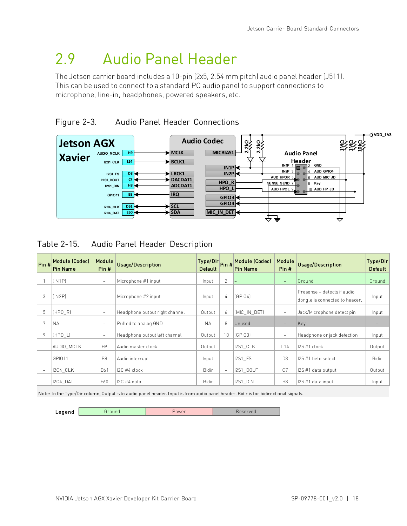## <span id="page-24-0"></span>2.9 Audio Panel Header

The Jetson carrier board includes a 10-pin (2x5, 2.54 mm pitch) audio panel header (J511). This can be used to connect to a standard PC audio panel to support connections to microphone, line-in, headphones, powered speakers, etc.

<span id="page-24-1"></span>



<span id="page-24-2"></span>Table 2-15. Audio Panel Header Description

|                          | Pin # Module (Codec)<br><b>Pin Name</b> | Module<br>Pin#           | <b>Usage/Description</b>       | Type/Dir Pin # Module (Codec)<br><b>Default</b> |                          | Pin Name       | Module<br>Pin#           | <b>Usage/Description</b>                                       | Type/Dir<br><b>Default</b> |
|--------------------------|-----------------------------------------|--------------------------|--------------------------------|-------------------------------------------------|--------------------------|----------------|--------------------------|----------------------------------------------------------------|----------------------------|
|                          | [IN1P]                                  | $\overline{\phantom{a}}$ | Microphone #1 input            | Input                                           | $\overline{2}$           |                | $\qquad \qquad -$        | Ground                                                         | Ground                     |
| 3                        | [IN2P]                                  | $\overline{\phantom{a}}$ | Microphone #2 input            | Input                                           | 4                        | (GPIO4)        | $\overline{\phantom{a}}$ | IPresense – detects if audio<br>dongle is connected to header. | Input                      |
| 5                        | (HPO R)                                 | $\overline{\phantom{a}}$ | Headphone output right channel | Output                                          | 6                        | (MIC IN DET)   | $\overline{\phantom{m}}$ | Jack/Microphone detect pin                                     | Input                      |
|                          | <b>NA</b>                               | $\overline{\phantom{a}}$ | Pulled to analog GND           | <b>NA</b>                                       | 8                        | Unused         |                          | Key                                                            |                            |
| 9                        | (HPO L)                                 | $\overline{\phantom{a}}$ | Headphone output left channel  | Output                                          | 10                       | lí GPI031      | $\overline{\phantom{m}}$ | Headphone or jack detection                                    | Input                      |
|                          | AUDIO MCLK                              | H <sub>9</sub>           | Audio master clock             | Output                                          | $\overline{\phantom{a}}$ | 12S1 CLK       | L14                      | I2S #1 clock                                                   | Output                     |
| $\overline{\phantom{a}}$ | <b>GPI011</b>                           | B <sub>8</sub>           | Audio interrupt                | Input                                           | $\qquad \qquad -$        | <b>I2S1 FS</b> | D <sub>8</sub>           | I2S #1 field select                                            | <b>Bidir</b>               |
|                          | 12C4 CLK                                | D61                      | $12C$ #4 clock                 | Bidir                                           | $\qquad \qquad -$        | I2S1 DOUT      | C7                       | I2S #1 data output                                             | Output                     |
|                          | 2C4 DAT                                 | E60                      | $IC$ #4 data                   | <b>Bidir</b>                                    | $\qquad \qquad -$        | 12S1 DIN       | H8                       | I2S #1 data input                                              | Input                      |

Note: In the Type/Dir column, Output is to audio panel header. Input is from audio panel header. Bidir is for bidirectional signals.

Legend Ground Reserved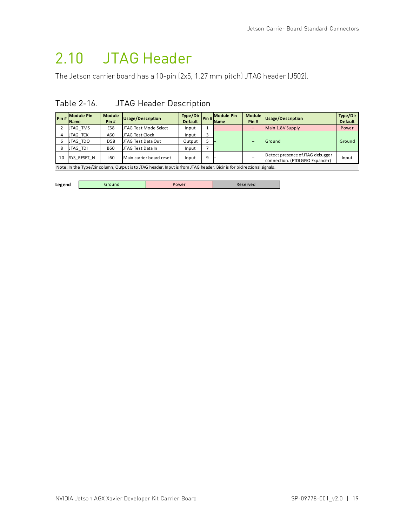## <span id="page-25-0"></span>2.10 JTAG Header

<span id="page-25-1"></span>The Jetson carrier board has a 10-pin (2x5, 1.27 mm pitch) JTAG header (J502).

### Table 2-16. JTAG Header Description

| Pin # | <b>Module Pin</b><br><b>Name</b> | <b>Module</b><br>Pin# | Usage/Description                                                                                                      | Type/Dir<br><b>Default</b> |   | VIT Pin # Module Pin<br><b>Name</b> | <b>Module</b><br>Pin# | <b>Usage/Description</b>                                             | <b>Type/Dir</b><br><b>Default</b> |  |  |
|-------|----------------------------------|-----------------------|------------------------------------------------------------------------------------------------------------------------|----------------------------|---|-------------------------------------|-----------------------|----------------------------------------------------------------------|-----------------------------------|--|--|
|       | JTAG TMS                         | E58                   | JTAG Test Mode Select                                                                                                  | Input                      |   |                                     |                       | Main 1.8V Supply                                                     | Power                             |  |  |
|       | <b>JTAG TCK</b>                  | A60                   | JTAG Test Clock                                                                                                        | Input                      |   |                                     |                       |                                                                      |                                   |  |  |
|       | JTAG TDO                         | D58                   | JTAG Test Data Out                                                                                                     | Output                     |   |                                     |                       | Ground                                                               | Ground                            |  |  |
| 8     | JTAG TDI                         | <b>B60</b>            | JTAG Test Data In                                                                                                      | Input                      |   |                                     |                       |                                                                      |                                   |  |  |
| 10    | SYS RESET N                      | L60                   | Main carrier board reset                                                                                               | Input                      | 9 |                                     |                       | Detect presence of JTAG debugger<br>connection. (FTDI GPIO Expander) | Input                             |  |  |
|       |                                  |                       | Note: In the Type/Dir column, Output is to JTAG header. Input is from JTAG header. Bidir is for bidirectional signals. |                            |   |                                     |                       |                                                                      |                                   |  |  |

| Legend | round | 'ower |  |
|--------|-------|-------|--|
|        |       |       |  |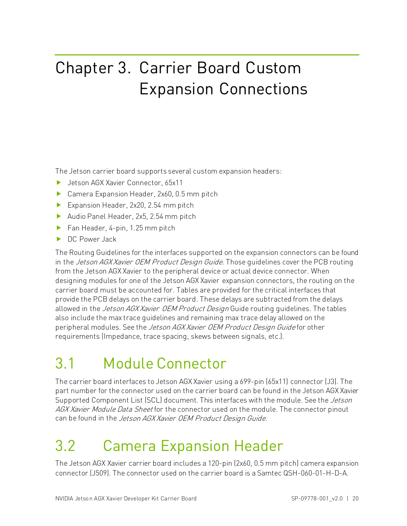# <span id="page-26-1"></span>Chapter 3. Carrier Board Custom Expansion Connections

The Jetson carrier board supports several custom expansion headers:

- ▶ Jetson AGX Xavier Connector, 65x11
- ▶ Camera Expansion Header, 2x60, 0.5 mm pitch
- Expansion Header, 2x20, 2.54 mm pitch
- Audio Panel Header, 2x5, 2.54 mm pitch
- $\blacktriangleright$  Fan Header, 4-pin, 1.25 mm pitch
- DC Power Jack

The Routing Guidelines for the interfaces supported on the expansion connectors can be found in the *Jetson AGX Xavier OEM Product Design Guide*. Those quidelines cover the PCB routing from the Jetson AGX Xavier to the peripheral device or actual device connector. When designing modules for one of the Jetson AGX Xavier expansion connectors, the routing on the carrier board must be accounted for. Tables are provided for the critical interfaces that provide the PCB delays on the carrier board. These delays are subtracted from the delays allowed in the *Jetson AGX Xavier OEM Product Design* Guide routing quidelines. The tables also include the max trace guidelines and remaining max trace delay allowed on the peripheral modules. See the *Jetson AGX Xavier OEM Product Design Guide* for other requirements (Impedance, trace spacing, skews between signals, etc.).

## <span id="page-26-2"></span>3.1 Module Connector

The carrier board interfaces to Jetson AGX Xavier using a 699-pin (65x11) connector (J3). The part number for the connector used on the carrier board can be found in the Jetson AGX Xavier Supported Component List (SCL) document. This interfaces with the module. See the *Jetson* AGX Xavier Module Data Sheet for the connector used on the module. The connector pinout can be found in the Jetson AGX Xavier OEM Product Design Guide.

## <span id="page-26-0"></span>3.2 Camera Expansion Header

The Jetson AGX Xavier carrier board includes a 120-pin (2x60, 0.5 mm pitch) camera expansion connector (J509). The connector used on the carrier board is a Samtec QSH-060-01-H-D-A.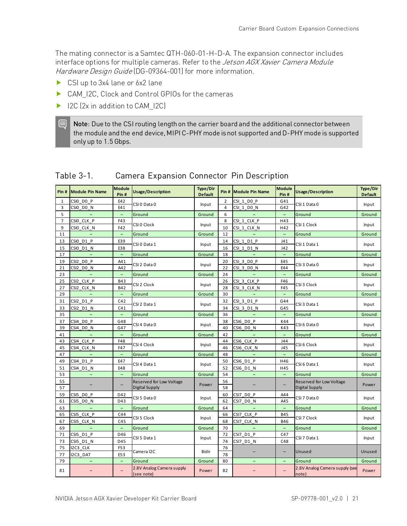The mating connector is a Samtec QTH-060-01-H-D-A. The expansion connector includes interface options for multiple cameras. Refer to the Jetson AGX Xavier Camera Module Hardware Design Guide (DG-09364-001) for more information.

- ▶ CSI up to 3x4 lane or 6x2 lane
- ▶ CAM\_I2C, Clock and Control GPIOs for the cameras
- ▶ I2C (2x in addition to CAM\_I2C)

目

Note: Due to the CSI routing length on the carrier board and the additional connector between the module and the end device, MIPI C-PHY mode is not supported and D-PHY mode is supported only up to 1.5 Gbps.

| Pin#           | <b>Module Pin Name</b>   | <b>Module</b><br>Pin#    | <b>Usage/Description</b>                | <b>Type/Dir</b><br><b>Default</b> |                | Pin # Module Pin Name | <b>Module</b><br>Pin#    | <b>Usage/Description</b>                | Type/Dir<br><b>Default</b> |
|----------------|--------------------------|--------------------------|-----------------------------------------|-----------------------------------|----------------|-----------------------|--------------------------|-----------------------------------------|----------------------------|
| $\mathbf{1}$   | CSIO DO P                | E42                      | CSI 0 Data 0                            |                                   | $\overline{2}$ | CSI 1 DO P            | G41                      | CSI 1 Data 0                            | Input                      |
| 3              | CSIO DO N                | E41                      |                                         | Input                             | 4              | CSI 1 DO N            | G42                      |                                         |                            |
| 5              |                          | $\overline{\phantom{0}}$ | Ground                                  | Ground                            | 6              |                       | $\overline{\phantom{0}}$ | Ground                                  | Ground                     |
| $\overline{7}$ | CSIO CLK P               | F43                      | CSI 0 Clock                             |                                   | 8              | CSI 1 CLK P           | H43                      | CSI 1 Clock                             | Input                      |
| 9              | CSIO CLK N               | F42                      |                                         | Input                             | 10             | CSI 1 CLK N           | H42                      |                                         |                            |
| 11             |                          | $\equiv$                 | Ground                                  | Ground                            | 12             |                       | $\equiv$                 | Ground                                  | Ground                     |
| 13             | CSIO D1 P                | E39                      | CSI 0 Data 1                            | Input                             | 14             | CSI 1 D1 P            | J41                      | CSI 1 Data 1                            | Input                      |
| 15             | CSIO D1 N                | E38                      |                                         |                                   | 16             | $CSI_1_D1_N$          | J42                      |                                         |                            |
| 17             |                          | $\overline{\phantom{m}}$ | Ground                                  | Ground                            | 18             |                       | $\overline{\phantom{a}}$ | Ground                                  | Ground                     |
| 19             | CSI2 DO P                | A41                      | CSI 2 Data 0                            |                                   | 20             | CSI 3 DO P            | E45                      | CSI 3 Data 0                            | Input                      |
| 21             | CSI2 DO N                | A42                      |                                         | Input                             | 22             | $CSI_3_D0_N$          | E44                      |                                         |                            |
| 23             |                          | $\qquad \qquad -$        | Ground                                  | Ground                            | 24             |                       | $\overline{\phantom{0}}$ | Ground                                  | Ground                     |
| 25             | CSI2 CLK P               | <b>B43</b>               |                                         |                                   | 26             | CSI 3 CLK P           | F46                      |                                         |                            |
| 27             | CSI2 CLK N               | <b>B42</b>               | CSI 2 Clock                             | Input                             | 28             | CSI 3 CLK N           | F45                      | CSI 3 Clock                             | Input                      |
| 29             | $\overline{\phantom{0}}$ | $\overline{\phantom{m}}$ | Ground                                  | Ground                            | 30             |                       | $\equiv$                 | Ground                                  | Ground                     |
| 31             | CSI2 D1 P                | C42                      |                                         |                                   | 32             | CSI 3 D1 P            | G44                      |                                         |                            |
| 33             | CSI2 D1 N                | C41                      | CSI 2 Data 1                            | Input                             | 34             | CSI 3 D1 N            | G45                      | CSI 3 Data 1                            | Input                      |
| 35             |                          | $\qquad \qquad -$        | Ground                                  | Ground                            | 36             |                       | $\overline{\phantom{a}}$ | Ground                                  | Ground                     |
| 37             | CSI4 DO P                | G48                      |                                         |                                   | 38             | CSI6 DO P             | K44                      |                                         |                            |
| 39             | CSI4 DO N                | G47                      | CSI 4 Data 0                            | Input                             | 40             | CSI6 DO N             | K43                      | CSI 6 Data 0                            | Input                      |
| 41             | $\qquad \qquad -$        | $\overline{\phantom{m}}$ | Ground                                  | Ground                            | 42             | $\equiv$              | $\equiv$                 | Ground                                  | Ground                     |
| 43             | CSI4 CLK P               | F48                      |                                         |                                   | 44             | CSI6 CLK P            | J44                      |                                         |                            |
| 45             | CSI4 CLK N               | F47                      | CSI 4 Clock                             | Input                             | 46             | CSI6_CLK_N            | J45                      | CSI 6 Clock                             | Input                      |
| 47             | $\equiv$                 | $\equiv$                 | Ground                                  | Ground                            | 48             |                       | $\equiv$                 | Ground                                  | Ground                     |
| 49             | CSI4 D1 P                | E47                      |                                         |                                   | 50             | CSI6 D1 P             | H46                      |                                         |                            |
| 51             | CSI4 D1 N                | E48                      | CSI 4 Data 1                            | Input                             | 52             | CSI6 D1 N             | H45                      | CSI 6 Data 1                            | Input                      |
| 53             | $\overline{\phantom{0}}$ | $\overline{\phantom{a}}$ | Ground                                  | Ground                            | 54             | $\qquad \qquad -$     | $\qquad \qquad -$        | Ground                                  | Ground                     |
| 55             |                          |                          | Reserved for Low Voltage                |                                   | 56             |                       |                          | <b>Reserved for Low Voltage</b>         |                            |
| 57             |                          | $\overline{\phantom{0}}$ | <b>Digital Supply</b>                   | Power                             | 58             |                       |                          | Digital Supply                          | Power                      |
| 59             | CSI5 DO P                | D42                      |                                         |                                   | 60             | CSI7 DO P             | A44                      |                                         |                            |
| 61             | CSI5 DO N                | D43                      | CSI 5 Data 0                            | Input                             | 62             | CSI7 DO N             | A45                      | CSI 7 Data 0                            | Input                      |
| 63             |                          | $\equiv$                 | Ground                                  | Ground                            | 64             |                       | $\overline{\phantom{m}}$ | Ground                                  | Ground                     |
| 65             | CSI5 CLK P               | C44                      |                                         |                                   | 66             | CSI7 CLK P            | <b>B45</b>               |                                         |                            |
| 67             | CSI5 CLK N               | C45                      | CSI 5 Clock                             | Input                             | 68             | CSI7 CLK N            | <b>B46</b>               | CSI 7 Clock                             | Input                      |
| 69             | $\overline{\phantom{0}}$ | $\equiv$                 | Ground                                  | Ground                            | 70             |                       | $\overline{\phantom{m}}$ | Ground                                  | Ground                     |
| 71             | CSI5 D1 P                | D46                      |                                         |                                   | 72             | CSI7 D1 P             | C47                      |                                         |                            |
| 73             | CSI5 D1 N                | D45                      | CSI 5 Data 1                            | Input                             | 74             | CSI7 D1 N             | C48                      | CSI 7 Data 1                            | Input                      |
| 75             | I2C3 CLK                 | F53                      |                                         |                                   | 76             |                       |                          |                                         |                            |
| 77             | I2C3 DAT                 | E53                      | Camera I2C                              | <b>Bidir</b>                      | 78             |                       | $\overline{\phantom{0}}$ | Unused                                  | Unused                     |
| 79             | $\qquad \qquad -$        | $\overline{\phantom{a}}$ | Ground                                  | Ground                            | 80             | -                     | -                        | Ground                                  | Ground                     |
| 81             |                          | -                        | 2.8V Analog Camera supply<br>(see note) | Power                             | 82             |                       |                          | 2.8V Analog Camera supply (see<br>note) | Power                      |

### <span id="page-27-0"></span>Table 3-1. Camera Expansion Connector Pin Description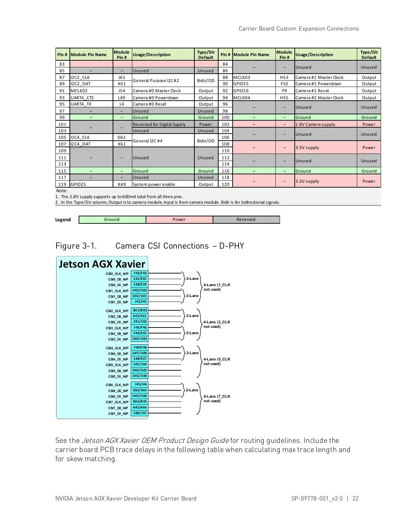| Pin# | <b>IModule Pin Name</b> | <b>Module</b><br>Pin# | <b>Usage/Description</b>           | Type/Dir<br><b>Default</b> |     | Pin # Module Pin Name | <b>Module</b><br>Pin#    | <b>Usage/Description</b> | Type/Dir<br><b>Default</b> |        |
|------|-------------------------|-----------------------|------------------------------------|----------------------------|-----|-----------------------|--------------------------|--------------------------|----------------------------|--------|
| 83   |                         |                       |                                    |                            | 84  |                       |                          |                          |                            |        |
| 85   | -                       | -                     | Unused                             | Unused                     | 86  |                       | $\overline{\phantom{0}}$ | Unused                   | Unused                     |        |
| 87   | I2C2 CLK                | J61                   |                                    |                            | 88  | MCLK03                | H <sub>53</sub>          | Camera #1 Master Clock   | Output                     |        |
| 89   | I2C2 DAT                | K61                   | General Purpose I2C#2              | Bidir/OD                   | 90  | GPIO15                | F10                      | Camera #1 Powerdown      | Output                     |        |
| 91   | MCLK02                  | J54                   | Camera #0 Master Clock             | Output                     | 92  | GPIO16                | F <sub>9</sub>           | Camera #1 Reset          | Output                     |        |
| 93   | UART4 CTS               | L49                   | Camera #0 Powerdown                | Output                     | 94  | MCLK04                | H <sub>55</sub>          | Camera #2 Master Clock   | Output                     |        |
| 95   | UART4 TX                | L4                    | Camera #0 Reset                    | Output                     | 96  |                       | $\qquad \qquad -$        | Unused                   | Unused                     |        |
| 97   |                         | -                     | Unused                             | Unused                     | 98  |                       |                          |                          |                            |        |
| 99   | -                       | -                     | Ground                             | Ground                     | 100 | -                     | $-$                      | Ground                   | Ground                     |        |
| 101  |                         |                       | <b>Reserved for Digital Supply</b> | Power                      | 102 |                       | $\overline{\phantom{0}}$ | 1.8V Camera supply.      | Power                      |        |
| 103  |                         |                       | Unused                             | Unused                     | 104 |                       |                          |                          |                            |        |
| 105  | I2C4 CLK                | D61                   | General I2C #4                     | Bidir/OD                   | 106 |                       | $\overline{\phantom{0}}$ | Unused                   |                            | Unused |
| 107  | I2C4 DAT                | K61                   |                                    |                            | 108 |                       |                          |                          |                            |        |
| 109  |                         |                       |                                    |                            | 110 |                       | $\overline{\phantom{0}}$ | 3.3V supply              | Power                      |        |
| 111  |                         |                       | Unused                             | Unused                     | 112 |                       |                          |                          |                            |        |
| 113  |                         |                       |                                    |                            | 114 |                       | $\qquad \qquad -$        | <b>Unused</b>            | Unused                     |        |
| 115  |                         | -                     | Ground                             | Ground                     | 116 |                       | $\qquad \qquad -$        | Ground                   | Ground                     |        |
| 117  |                         | -                     | Unused                             | Unused                     | 118 |                       |                          |                          |                            |        |
| 119  | GPIO25                  | K49                   | System power enable                | Output                     | 120 |                       | $\overline{\phantom{0}}$ | 3.3V supply              | Power                      |        |

Note:

1. The 2.8V supply supports up to 600mA total from all three pins.

2. In the Type/Dir column, Output is to camera module. Input is from camera module. Bidir is for bidirectional signals.

<span id="page-28-0"></span>

| Power<br>iround<br>'served |        |  |  |
|----------------------------|--------|--|--|
|                            | Legend |  |  |

Figure 3-1. Camera CSI Connections – D-PHY



See the *Jetson AGX Xavier OEM Product Design Guide* for routing guidelines. Include the carrier board PCB trace delays in the following table when calculating max trace length and for skew matching.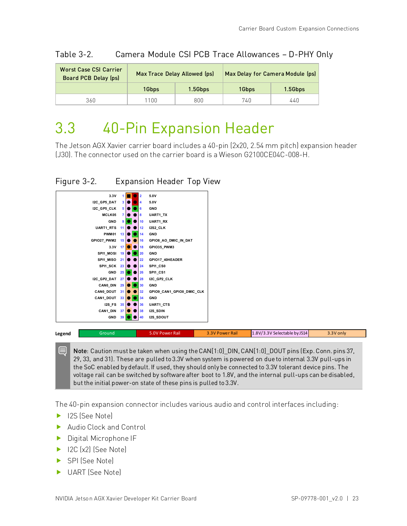| Worst Case CSI Carrier<br><b>Board PCB Delay (ps)</b> |       | Max Trace Delay Allowed (ps) | Max Delay for Camera Module (ps) |         |
|-------------------------------------------------------|-------|------------------------------|----------------------------------|---------|
|                                                       | 1Gbps | 1.5Gbps                      | 1Gbps                            | 1.5Gbps |
| 360                                                   | 100   | 800                          | 740                              | 440     |

<span id="page-29-0"></span>Table 3-2. Camera Module CSI PCB Trace Allowances – D-PHY Only

## <span id="page-29-1"></span>3.3 40-Pin Expansion Header

The Jetson AGX Xavier carrier board includes a 40-pin (2x20, 2.54 mm pitch) expansion header (J30). The connector used on the carrier board is a Wieson G2100CE04C-008-H.

### <span id="page-29-2"></span>Figure 3-2. Expansion Header Top View



Note: Caution must be taken when using the CAN[1:0] DIN, CAN[1:0] DOUT pins (Exp. Conn. pins 37, 29, 33, and 31). These are pulled to 3.3V when system is powered on due to internal 3.3V pull-ups in the SoC enabled by default. If used, they should only be connected to 3.3V tolerant device pins. The voltage rail can be switched by software after boot to 1.8V, and the internal pull-ups can be disabled, but the initial power-on state of these pins is pulled to 3.3V.

The 40-pin expansion connector includes various audio and control interfaces including:

- ▶ I2S (See Note)
- Audio Clock and Control
- **Digital Microphone IF**
- ▶ I2C (x2) (See Note)
- ▶ SPI (See Note)
- ▶ UART (See Note)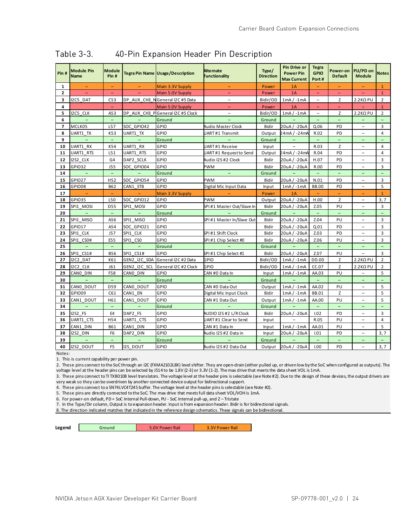| Pin#           | <b>Module Pin</b><br><b>Name</b> | <b>Module</b><br>Pin#    |                          | Tegra Pin Name Usage/Description | <b>Alternate</b><br><b>Functionality</b> | Type/<br><b>Direction</b> | Pin Drive or<br><b>Power Pin</b><br><b>Max Current</b> | <b>Tegra</b><br><b>GPIO</b><br>Port# | Power-on<br><b>Default</b> | PU/PD on<br><b>Module</b> | <b>Notes</b>      |
|----------------|----------------------------------|--------------------------|--------------------------|----------------------------------|------------------------------------------|---------------------------|--------------------------------------------------------|--------------------------------------|----------------------------|---------------------------|-------------------|
| 1              |                                  | $\equiv$                 |                          | Main 3.3V Supply                 |                                          | Power                     | 1A                                                     |                                      |                            |                           | $\mathbf{1}$      |
| $\overline{2}$ |                                  | $\equiv$                 |                          | Main 5.0V Supply                 |                                          | Power                     | 1A                                                     | ۳                                    | -                          |                           | $\mathbf{1}$      |
| 3              | I2C5 DAT                         | C <sub>53</sub>          |                          | DP AUX CH3 NGeneral I2C #5 Data  |                                          | Bidir/OD                  | $1mA / -1mA$                                           |                                      | Z                          | $2.2$ K $\Omega$ PU       | $\overline{2}$    |
| 4              |                                  | $\overline{\phantom{0}}$ |                          | Main 5.0V Supply                 |                                          | Power                     | 1A                                                     |                                      | ۳                          |                           | $\mathbf{1}$      |
| 5              | I2C5 CLK                         | A53                      |                          | DP AUX CH3 PGeneral I2C #5 Clock | $\overline{\phantom{a}}$                 | Bidir/OD                  | $1mA / -1mA$                                           | $\qquad \qquad -$                    | Z                          | $2.2$ K $\Omega$ PU       | $\overline{2}$    |
| 6              |                                  | $\overline{\phantom{a}}$ |                          | Ground                           |                                          | Ground                    |                                                        | $\qquad \qquad -$                    | $\qquad \qquad -$          | ۳                         |                   |
| $\overline{ }$ | MCLK05                           | L57                      | SOC GPIO42               | GPIO                             | Audio Master Clock                       | Bidir                     | 20uA/-20uA                                             | Q.06                                 | PD                         | $\overline{\phantom{0}}$  | 3                 |
| 8              | UART1 TX                         | K53                      | UART1 TX                 | GPIO                             | JART#1 Transmit                          | Output                    | 24mA / -24m4                                           | R.02                                 | PD                         |                           | 4                 |
| 9              | $\equiv$                         | $\overline{\phantom{a}}$ | $\overline{\phantom{a}}$ | Ground                           |                                          | Ground                    | $\overline{\phantom{a}}$                               | $\overline{\phantom{a}}$             | $\overline{\phantom{a}}$   | $\overline{\phantom{0}}$  | -                 |
| 10             | UART1 RX                         | K54                      | UART1 RX                 | GPIO                             | JART#1 Receive                           | Input                     | $\qquad \qquad -$                                      | R.03                                 | Z                          |                           | $\overline{4}$    |
| 11             | UART1 RTS                        | L51                      | UART1 RTS                | GPIO                             | JART#1 Requestto Send                    | Output                    | 24mA / -24m4                                           | R.04                                 | PD                         |                           | 4                 |
| 12             | I2S2 CLK                         | G4                       | DAP2 SCLK                | GPIO                             | Audio I2S #2 Clock                       | Bidir                     | 20uA/-20uA                                             | H.07                                 | PD                         |                           | 3                 |
| 13             | GPI032                           | <b>J55</b>               | SOC GPIO04               | GPIO                             | PWM                                      | Bidir                     | 20uA/-20uA                                             | R.00                                 | PD                         | $\overline{\phantom{0}}$  | 3                 |
| 14             | $\overline{\phantom{a}}$         | $\overline{\phantom{a}}$ | $\overline{\phantom{a}}$ | Ground                           | $\overline{\phantom{a}}$                 | Ground                    | ÷                                                      | $\equiv$                             | $\overline{\phantom{0}}$   |                           | $\qquad \qquad -$ |
| 15             | GPI027                           | H <sub>52</sub>          | SOC GPIO54               | GPIO                             | PWM                                      | <b>Bidir</b>              | 20uA/-20uA                                             | N.01                                 | PD                         |                           | 3                 |
| 16             | GPIO08                           | <b>B62</b>               | CAN1 STB                 | GPIO                             | Digital Mic Input Data                   | Input                     | $1mA / -1mA$                                           | <b>BB.00</b>                         | PD                         | $\overline{\phantom{0}}$  | 5                 |
| 17             | $\qquad \qquad -$                | $\qquad \qquad -$        |                          | Main 3.3V Supply                 |                                          | Power                     | 1A                                                     | $\overline{\phantom{a}}$             | $\overline{\phantom{a}}$   | $\overline{\phantom{0}}$  | $\mathbf{1}$      |
| 18             | GPIO35                           | L50                      | SOC GPIO12               | GPIO                             | PWM                                      | Output                    | 20uA/-20uA                                             | H.00                                 | Z                          |                           | 3,7               |
| 19             | SPI1 MOSI                        | <b>D55</b>               | SPI1 MOSI                | GPIO                             | SPI#1 Master Out/Slave In                | <b>Bidir</b>              | 20uA/-20uA                                             | Z.05                                 | PU                         |                           | 3                 |
| 20             | $\equiv$                         | $\equiv$                 | $\equiv$                 | Ground                           |                                          | Ground                    |                                                        | $\equiv$                             | $\equiv$                   | L,                        | ÷,                |
| 21             | SPI1 MISO                        | A56                      | SPI1<br><b>MISO</b>      | GPIO                             | SPI#1 Master In/Slave Out                | <b>Bidir</b>              | 20uA/-20uA                                             | Z.04                                 | PU                         | L,                        | 3                 |
| 22             | <b>GPIO17</b>                    | A54                      | SOC GPIO21               | GPIO                             |                                          | <b>Bidir</b>              | 20uA/-20uA                                             | Q.01                                 | PD                         |                           | 3                 |
| 23             | SPI1 CLK                         | J57                      | SPI1 CLK                 | GPIO                             | SPI #1 Shift Clock                       | <b>Bidir</b>              | 20uA/-20uA                                             | Z.03                                 | PD                         |                           | 3                 |
| 24             | SPI1 CSO#                        | E55                      | SPI1 CSO                 | GPIO                             | SPI#1 Chip Select #0                     | <b>Bidir</b>              | 20uA/-20uA                                             | Z.06                                 | PU                         |                           | 3                 |
| 25             | $\equiv$                         | $\overline{\phantom{a}}$ | $\overline{\phantom{a}}$ | Ground                           |                                          | Ground                    |                                                        | $\overline{\phantom{a}}$             | $\qquad \qquad -$          | -                         | -                 |
| 26             | SPI1 CS1#                        | <b>B56</b>               | SPI1 CS1#                | GPIO                             | SPI#1 Chip Select #1                     | Bidir                     | 20uA/-20uA                                             | Z.07                                 | PU                         |                           | 3                 |
| 27             | I2C2 DAT                         | K61                      | GEN2 I2C SDA             | General I2C #2 Data              | GPIO                                     | Bidir/OD                  | $1mA / -1mA$                                           | DD.00                                | Z                          | $2.2$ K $\Omega$ PU       | $\overline{2}$    |
| 28             | I2C2 CLK                         | J61                      | GEN2 I2C SCL             | General I2C #2 Clock             | GPIO                                     | Bidir/OD                  | $1mA / -1mA$                                           | CC.07                                | Z                          | $2.2$ K $\Omega$ PU       | $\overline{2}$    |
| 29             | CANO DIN                         | F58                      | CANO DIN                 | GPIO                             | CAN #0 Data In                           | Input                     | $1mA / -1mA$                                           | AA.03                                | PU                         | $\overline{\phantom{0}}$  | 5                 |
| 30             | $\equiv$                         | $\equiv$                 | $\equiv$                 | Ground                           |                                          | Ground                    |                                                        | $\equiv$                             |                            |                           |                   |
| 31             | CANO DOUT                        | D <sub>59</sub>          | CANO DOUT                | GPIO                             | CAN #0 Data Out                          | Output                    | $1mA / -1mA$                                           | AA.02                                | PU                         |                           | 5                 |
| 32             | GPIO09                           | C61                      | CAN1 EN                  | GPIO                             | Digital Mic Input Clock                  | Bidir                     | $1mA / -1mA$                                           | <b>BB.01</b>                         | Z                          | $\overline{\phantom{0}}$  | 5                 |
| 33             | CAN1 DOUT                        | H61                      | CAN1 DOUT                | GPIO                             | CAN #1 Data Out                          | Output                    | $1mA / -1mA$                                           | AA.00                                | PU                         | -                         | 5                 |
| 34             |                                  | $\equiv$                 |                          | Ground                           |                                          | Ground                    |                                                        | $\sim$                               |                            |                           |                   |
| 35             | 12S2 FS                          | E4                       | DAP2 FS                  | GPIO                             | AUDIO I2S #2 L/R Clock                   | Bidir                     | 20uA/-20uA                                             | 1.02                                 | PD                         |                           | 3                 |
| 36             | UART1 CTS                        | H54                      | UART1 CTS                | GPIO                             | UART#1 Clear to Send                     | Input                     |                                                        | R.05                                 | PU                         | $\overline{\phantom{0}}$  | 4                 |
| 37             | CAN1 DIN                         | <b>B61</b>               | CAN1 DIN                 | GPIO                             | CAN #1 Data In                           | Input                     | $1mA / -1mA$                                           | AA.01                                | PU                         |                           | 5                 |
| 38             | I2S2 DIN                         | F6                       | DAP2 DIN                 | GPIO                             | Audio I2S #2 Data in                     | Input                     | 20uA/-20uA                                             | 1.01                                 | PD                         | $\overline{\phantom{0}}$  | 3,7               |
| 39             | $\equiv$                         | $\overline{\phantom{a}}$ |                          | Ground                           |                                          | Ground                    |                                                        | $\qquad \qquad -$                    | ÷,                         |                           |                   |
| 40             | I2S2 DOUT                        | F <sub>5</sub>           | <b>I2S DOUT</b>          | GPIO                             | Audio I2S #2 Data Out                    | Output                    | 20uA/-20uA                                             | 1.00                                 | PD                         | $\overline{\phantom{0}}$  | 3,7               |

### <span id="page-30-0"></span>Table 3-3. 40-Pin Expansion Header Pin Description

Notes:

1. This is current capability per power pin.

2. These pins connect to the SoC through an I2C (FXMA2102L8X) level shifter. They are open-drain (either pulled up, or driven low by the SoC when configured as outputs). The voltage level at the header pins can be selected by J514 to be 1.8V (2-3) or 3.3V (1-2). The max drive that meets the data sheet VOL is 1mA.

3. These pins connect to TI TXB0108 level translators. The voltage level at the header pins is selectable (see Note #2). Due to the design of these devices, the output drivers are very weak so they can be overdriven by another connected device output for bidirectional support.

4. These pins connect to a SN74LVC4T245 buffer. The voltage level at the header pins is selectable (see Note #2).

5. These pins are directly connected to the SoC. The max drive that meets full data sheet VOL/VOH is 1mA.

6. For power-on default, PD = SoC Internal Pull-down, PU - SoC Internal pull-up, and Z – Tristate

7. In the Type/Dir column, Output is to expansion header. Input is from expansion header. Bidir is for bidirectional signals.

8. The direction indicated matches that indicated in the reference design schematics. These signals can be bidirectional.

**Legend** Ground 1 5.0V Power Rail 3.3V Power Rail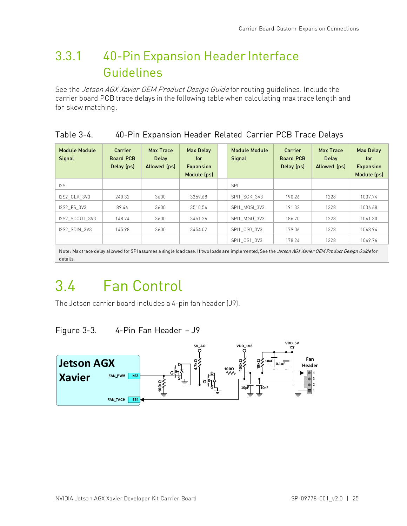### <span id="page-31-0"></span>3.3.1 40-Pin Expansion Header Interface Guidelines

See the *Jetson AGX Xavier OEM Product Design Guide* for routing guidelines. Include the carrier board PCB trace delays in the following table when calculating max trace length and for skew matching.

### <span id="page-31-3"></span>Table 3-4. 40-Pin Expansion Header Related Carrier PCB Trace Delays

| Module Module<br>Signal | <b>Carrier</b><br><b>Board PCB</b><br>Delay (ps) | Max Trace<br>Delay<br>Allowed (ps) | <b>Max Delay</b><br>for<br><b>Expansion</b><br>Module (ps) | <b>Module Module</b><br>Signal | Carrier<br><b>Board PCB</b><br>Delay (ps) | Max Trace<br><b>Delay</b><br>Allowed (ps) | <b>Max Delay</b><br>for<br><b>Expansion</b><br>Module (ps) |
|-------------------------|--------------------------------------------------|------------------------------------|------------------------------------------------------------|--------------------------------|-------------------------------------------|-------------------------------------------|------------------------------------------------------------|
| 12S                     |                                                  |                                    |                                                            | <b>SPI</b>                     |                                           |                                           |                                                            |
| <b>I2S2 CLK 3V3</b>     | 240.32                                           | 3600                               | 3359.68                                                    | SPI1 SCK 3V3                   | 190.26                                    | 1228                                      | 1037.74                                                    |
| I2S2 FS 3V3             | 89.46                                            | 3600                               | 3510.54                                                    | SPI1 MOSI 3V3                  | 191.32                                    | 1228                                      | 1036.68                                                    |
| I2S2 SDOUT 3V3          | 148.74                                           | 3600                               | 3451.26                                                    | SPI1 MISO 3V3                  | 186.70                                    | 1228                                      | 1041.30                                                    |
| I2S2 SDIN 3V3           | 145.98                                           | 3600                               | 3454.02                                                    | SPI1 CS0 3V3                   | 179.06                                    | 1228                                      | 1048.94                                                    |
|                         |                                                  |                                    |                                                            | SPI1 CS1 3V3                   | 178.24                                    | 1228                                      | 1049.76                                                    |

Note: Max trace delay allowed for SPI assumes a single load case. If two loads are implemented, See the Jetson AGX Xavier OEM Product Design Guidefor details.

## <span id="page-31-1"></span>3.4 Fan Control

<span id="page-31-2"></span>The Jetson carrier board includes a 4-pin fan header (J9).

Figure 3-3. 4-Pin Fan Header – J9

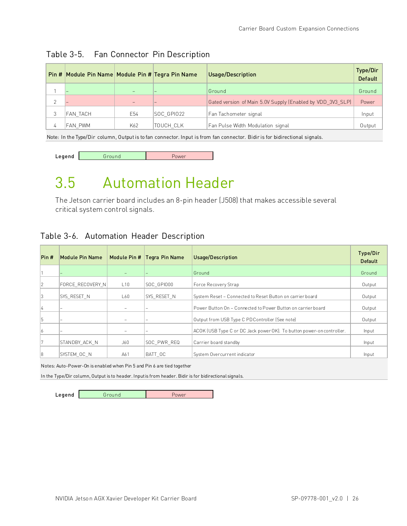|   | Pin # Module Pin Name   Module Pin # Tegra Pin Name |     |                          | Usage/Description                                          | Type/Dir<br><b>Default</b> |
|---|-----------------------------------------------------|-----|--------------------------|------------------------------------------------------------|----------------------------|
|   |                                                     |     |                          | Ground                                                     | Ground                     |
|   |                                                     |     | $\overline{\phantom{0}}$ | Gated version of Main 5.0V Supply (Enabled by VDD_3V3_SLP) | Power                      |
| 3 | FAN TACH                                            | E54 | SOC GPIO22               | Fan Tachometer signal                                      | Input                      |
| 4 | IFAN PWM                                            | K62 | TOUCH CLK                | Fan Pulse Width Modulation signal                          | Output                     |
|   |                                                     |     |                          |                                                            |                            |

### <span id="page-32-1"></span>Table 3-5. Fan Connector Pin Description

Note: In the Type/Dir column, Output is to fan connector. Input is from fan connector. Bidir is for bidirectional signals.

<span id="page-32-0"></span>

| Legend | Power |
|--------|-------|
|        |       |

## 3.5 Automation Header

The Jetson carrier board includes an 8-pin header (J508) that makes accessible several critical system control signals.

### <span id="page-32-2"></span>Table 3-6. Automation Header Description

| Prn#          | Module Pin Name  |                   | Module Pin #   Tegra Pin Name | Usage/Description                                                     | Type/Dir<br>Default |
|---------------|------------------|-------------------|-------------------------------|-----------------------------------------------------------------------|---------------------|
|               |                  | $-$               | $-$                           | Ground                                                                | Ground              |
| 2             | FORCE RECOVERY N | L10               | SOC GPIO00                    | Force Recovery Strap                                                  | Output              |
| 13            | SYS RESET N      | L60               | ISYS RESET N                  | System Reset - Connected to Reset Button on carrier board             | Output              |
| $\frac{1}{4}$ |                  |                   |                               | Power Button On - Connected to Power Button on carrier board          | Output              |
| 15            |                  | -                 | $\overline{\phantom{m}}$      | Output from USB Type C PD Controller (See note)                       | Output              |
| 16            |                  | $\qquad \qquad =$ | -                             | ACOK (USB Type C or DC Jack power OK). To button power-on controller. | Input               |
|               | STANDBY ACK N    | J60               | SOC PWR REQ                   | Carrier board standby                                                 | Input               |
| 18            | SYSTEM OC N      | A61               | BATT OC                       | System Overcurrent indicator                                          | Input               |

Notes: Auto-Power-On is enabled when Pin 5 and Pin 6 are tied together

In the Type/Dir column, Output is to header. Input is from header. Bidir is for bidirectional signals.

Legend Ground Rower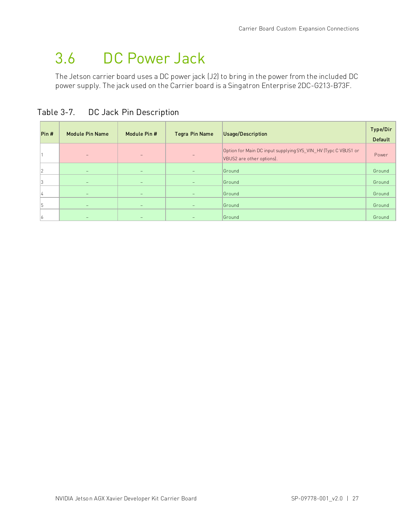## <span id="page-33-0"></span>3.6 DC Power Jack

The Jetson carrier board uses a DC power jack (J2) to bring in the power from the included DC power supply. The jack used on the Carrier board is a Singatron Enterprise 2DC-G213-B73F.

| Prn# | <b>Module Pin Name</b>   | Module Pin #             | Tegra Pin Name           | Usage/Description                                                                           | Type/Dir<br><b>Default</b> |
|------|--------------------------|--------------------------|--------------------------|---------------------------------------------------------------------------------------------|----------------------------|
|      |                          | -                        | $\qquad \qquad -$        | Option for Main DC input supplying SYS_VIN_HV (Typc C VBUS1 or<br>VBUS2 are other options). | Power                      |
| 12   |                          | $\overline{\phantom{0}}$ | $\qquad \qquad -$        | Ground                                                                                      | Ground                     |
| 13   |                          |                          | $\overline{\phantom{0}}$ | Ground                                                                                      | Ground                     |
| 4    | $\overline{\phantom{a}}$ | $\qquad \qquad -$        | $\qquad \qquad -$        | Ground                                                                                      | Ground                     |
| 15   | $\qquad \qquad$          | -                        | $\qquad \qquad -$        | Ground                                                                                      | Ground                     |
| 16   |                          |                          | -                        | Ground                                                                                      | Ground                     |

<span id="page-33-1"></span>Table 3-7. DC Jack Pin Description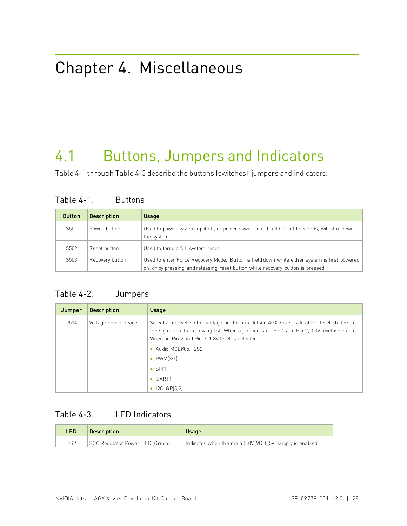## <span id="page-34-0"></span>Chapter 4. Miscellaneous

## <span id="page-34-1"></span>4.1 Buttons, Jumpers and Indicators

<span id="page-34-2"></span>[Table 4-1](#page-34-2) throug[h Table 4-3](#page-34-4) describe the buttons (switches), jumpers and indicators.

| <b>Button</b>    | <b>Description</b> | Usage                                                                                                                                                                          |
|------------------|--------------------|--------------------------------------------------------------------------------------------------------------------------------------------------------------------------------|
| S501             | Power button       | Used to power system up if off, or power down if on. If held for >10 seconds, will shut down<br>the system.                                                                    |
| S502             | Reset button       | Used to force a full system reset.                                                                                                                                             |
| S <sub>503</sub> | Recovery button    | Used to enter Force Recovery Mode. Button is held down while either system is first powered<br>on, or by pressing and releasing reset button while recovery button is pressed. |

### Table 4-1. Buttons

### <span id="page-34-3"></span>Table 4-2. Jumpers

| Jumper | <b>Description</b>    | Usage                                                                                                                                                                                                                                                                        |
|--------|-----------------------|------------------------------------------------------------------------------------------------------------------------------------------------------------------------------------------------------------------------------------------------------------------------------|
| J514   | Voltage select header | Selects the level shifter voltage on the non-Jetson AGX Xavier side of the level shifters for<br>the signals in the following list. When a jumper is on Pin 1 and Pin 2, 3.3V level is selected.<br>When on Pin 2 and Pin 3, 1.8V level is selected.<br>• Audio MCLK05, I2S2 |
|        |                       | $\bullet$ PWM[3:1]                                                                                                                                                                                                                                                           |
|        |                       | $\bullet$ SPI1                                                                                                                                                                                                                                                               |
|        |                       | $\bullet$ UART1                                                                                                                                                                                                                                                              |
|        |                       | ICGP[5,2]<br>$\bullet$                                                                                                                                                                                                                                                       |

### <span id="page-34-4"></span>Table 4-3. LED Indicators

| LED <sup>1</sup> | <b>Description</b>              | Usage                                                   |
|------------------|---------------------------------|---------------------------------------------------------|
| DS <sub>2</sub>  | SOC Regulator Power LED (Green) | Indicates when the main 5.0V (VDD 5V) supply is enabled |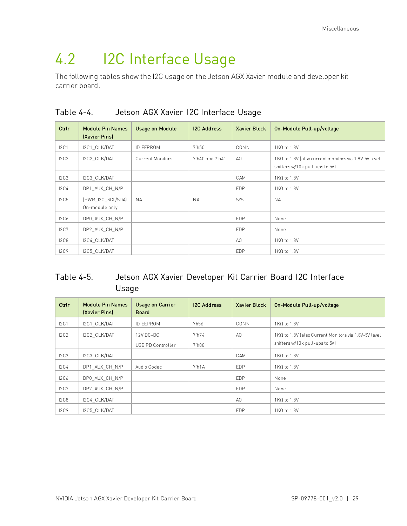## <span id="page-35-0"></span>4.2 I2C Interface Usage

The following tables show the I2C usage on the Jetson AGX Xavier module and developer kit carrier board.

| Ctrlr            | <b>Module Pin Names</b><br>(Xavier Pins) | <b>Usage on Module</b>  | <b>I2C Address</b> | <b>Xavier Block</b> | On-Module Pull-up/voltage                                                               |
|------------------|------------------------------------------|-------------------------|--------------------|---------------------|-----------------------------------------------------------------------------------------|
| I2C1             | I2C1 CLK/DAT                             | <b>ID EEPROM</b>        | 7 <sub>h50</sub>   | CONN                | $1K\Omega$ to $1.8V$                                                                    |
| 12C2             | I2C2 CLK/DAT                             | <b>Current Monitors</b> | 7'h40 and 7'h41    | A <sub>0</sub>      | 1 KΩ to 1.8V (also current monitors via 1.8V-5V level<br>shifters w/10k pull-ups to 5V) |
| 2C3              | I2C3 CLK/DAT                             |                         |                    | CAM                 | $1K\Omega$ to $1.8V$                                                                    |
| 12C <sub>4</sub> | DP1 AUX CH N/P                           |                         |                    | <b>EDP</b>          | 1 KΩ to 1.8 V                                                                           |
| 12C5             | (PWR I2C SCL/SDA)<br>On-module only      | <b>NA</b>               | <b>NA</b>          | SYS                 | <b>NA</b>                                                                               |
| 12C6             | DP0 AUX CH N/P                           |                         |                    | <b>EDP</b>          | None                                                                                    |
| 12C7             | DP2 AUX CH N/P                           |                         |                    | <b>EDP</b>          | None                                                                                    |
| 12C8             | I2C4 CLK/DAT                             |                         |                    | A0                  | $1K\Omega$ to $1.8V$                                                                    |
| 12C9             | I2C5 CLK/DAT                             |                         |                    | <b>EDP</b>          | $1K\Omega$ to $1.8V$                                                                    |

<span id="page-35-1"></span>Table 4-4. Jetson AGX Xavier I2C Interface Usage

### <span id="page-35-2"></span>Table 4-5. Jetson AGX Xavier Developer Kit Carrier Board I2C Interface Usage

| Ctrlr            | <b>Module Pin Names</b><br>(Xavier Pins) | <b>Usage on Carrier</b><br><b>Board</b> | <b>I2C Address</b>         | <b>Xavier Block</b> | On-Module Pull-up/voltage                                                               |
|------------------|------------------------------------------|-----------------------------------------|----------------------------|---------------------|-----------------------------------------------------------------------------------------|
| 12C1             | I2C1 CLK/DAT                             | <b>ID EEPROM</b>                        | 7h56                       | CONN                | $1K\Omega$ to $1.8V$                                                                    |
| 12C2             | I2C2 CLK/DAT                             | 12V DC-DC<br>USB PD Controller          | 7 <sup>h</sup> 74<br>7'h08 | A <sub>0</sub>      | 1 KΩ to 1.8V (also Current Monitors via 1.8V-5V level<br>shifters w/10k pull-ups to 5V) |
| I2C3             | I2C3 CLK/DAT                             |                                         |                            | CAM                 | 1KΩ to 1.8V                                                                             |
| 12C <sub>4</sub> | DP1 AUX CH N/P                           | Audio Codec                             | 7 <sup>th</sup> 1A         | <b>EDP</b>          | $1K\Omega$ to $1.8V$                                                                    |
| 12C6             | DP0 AUX CH N/P                           |                                         |                            | <b>EDP</b>          | None                                                                                    |
| I2C7             | DP2 AUX CH N/P                           |                                         |                            | <b>EDP</b>          | None                                                                                    |
| 12C8             | I2C4 CLK/DAT                             |                                         |                            | AO                  | 1 KΩ to 1.8 V                                                                           |
| 12C9             | I2C5 CLK/DAT                             |                                         |                            | <b>EDP</b>          | $1K\Omega$ to $1.8V$                                                                    |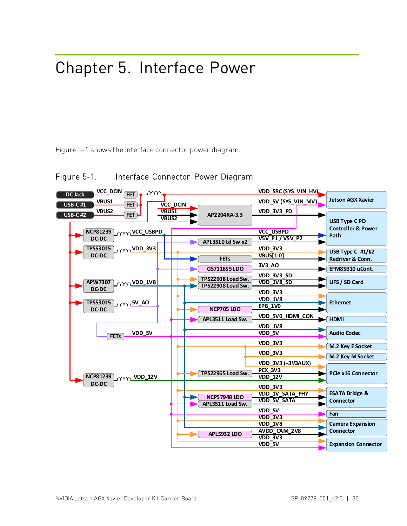## <span id="page-36-0"></span>Chapter 5. Interface Power

<span id="page-36-1"></span>Figure 5-1 shows the interface connector power diagram.



Figure 5-1. Interface Connector Power Diagram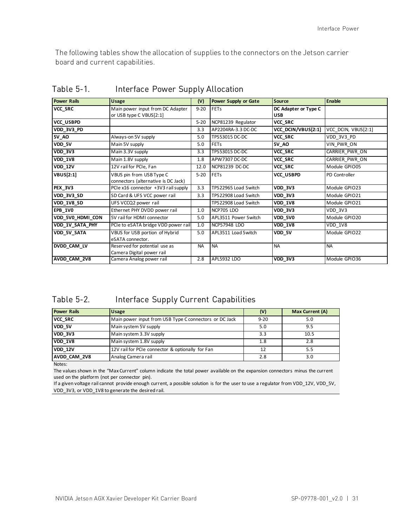The following tables show the allocation of supplies to the connectors on the Jetson carrier board and current capabilities.

| <b>Power Rails</b> | Usage                                                           | (V)       | <b>Power Supply or Gate</b> | <b>Source</b>                      | <b>Enable</b>         |
|--------------------|-----------------------------------------------------------------|-----------|-----------------------------|------------------------------------|-----------------------|
| VCC_SRC            | Main power input from DC Adapter<br>or USB type C VBUS[2:1]     | $9 - 20$  | FETS                        | DC Adapter or Type C<br><b>USB</b> |                       |
| VCC USBPD          |                                                                 | $5 - 20$  | NCP81239 Regulator          | VCC SRC                            |                       |
| VDD_3V3_PD         |                                                                 | 3.3       | AP2204RA-3.3 DC-DC          | VCC DCIN/VBUS[2:1]                 | VCC DCIN, VBUS[2:1]   |
| 5V_AO              | Always-on 5V supply                                             | 5.0       | TPS53015 DC-DC              | VCC_SRC                            | VDD_3V3_PD            |
| VDD 5V             | Main 5V supply                                                  | 5.0       | <b>FETs</b>                 | <b>5V AO</b>                       | VIN PWR ON            |
| <b>VDD_3V3</b>     | Main 3.3V supply                                                | 3.3       | TPS53015 DC-DC              | VCC SRC                            | CARRIER PWR ON        |
| <b>VDD_1V8</b>     | Main 1.8V supply                                                | 1.8       | APW7307 DC-DC               | <b>VCC SRC</b>                     | <b>CARRIER PWR ON</b> |
| <b>VDD_12V</b>     | 12V rail for PCIe, Fan                                          | 12.0      | NCP81239 DC-DC              | VCC SRC                            | Module GPIO05         |
| <b>VBUS[2:1]</b>   | VBUS pin from USB Type C<br>connectors (alternative is DC Jack) | $5 - 20$  | FETS                        | VCC USBPD                          | PD Controller         |
| <b>PEX 3V3</b>     | PCIe x16 connector +3V3 rail supply                             | 3.3       | TPS22965 Load Switch        | <b>VDD 3V3</b>                     | Module GPIO23         |
| VDD 3V3 SD         | SD Card & UFS VCC power rail                                    | 3.3       | TPS22908 Load Switch        | <b>VDD 3V3</b>                     | Module GPIO21         |
| <b>VDD 1V8 SD</b>  | UFS VCCQ2 power rail                                            |           | TPS22908 Load Switch        | <b>VDD 1V8</b>                     | Module GPIO21         |
| <b>EPB_1V0</b>     | Ethernet PHY DVDD power rail                                    | 1.0       | NCP705 LDO                  | <b>VDD 3V3</b>                     | VDD 3V3               |
| VDD 5V0 HDMI CON   | 5V rail for HDMI connector                                      | 5.0       | APL3511 Power Switch        | VDD 5V0                            | Module GPIO20         |
| VDD 1V SATA PHY    | PCIe to eSATA bridge VDD power rail                             | 1.0       | <b>NCP57948 LDO</b>         | <b>VDD 1V8</b>                     | VDD 1V8               |
| VDD 5V SATA        | VBUS for USB portion of Hybrid<br>eSATA connector.              | 5.0       | APL3511 Load Switch         | VDD 5V                             | Module GPIO22         |
| DVDD CAM LV        | Reserved for potential use as<br>Camera Digital power rail      | <b>NA</b> | <b>NA</b>                   | <b>NA</b>                          | <b>NA</b>             |
| AVDD CAM 2V8       | Camera Analog power rail                                        | 2.8       | APL5932 LDO                 | VDD 3V3                            | Module GPIO36         |

<span id="page-37-0"></span>Table 5-1. Interface Power Supply Allocation

#### <span id="page-37-1"></span>Table 5-2. Interface Supply Current Capabilities

| <b>Power Rails</b>  | <b>Usage</b>                                           | (V)      | Max Current (A) |
|---------------------|--------------------------------------------------------|----------|-----------------|
| <b>VCC SRC</b>      | Main power input from USB Type C connectors or DC Jack | $9 - 20$ | 5.0             |
| VDD 5V              | Main system 5V supply                                  | 5.0      | 9.5             |
| <b>VDD 3V3</b>      | Main system 3.3V supply                                | 3.3      | 10.5            |
| <b>VDD 1V8</b>      | Main system 1.8V supply                                | 1.8      | 2.8             |
| <b>VDD 12V</b>      | 12V rail for PCIe connector & optionally for Fan       | 12       | 5.5             |
| <b>AVDD CAM 2V8</b> | Analog Camera rail                                     | 2.8      | 3.0             |

Notes:

The values shown in the "Max Current" column indicate the total power available on the expansion connectors minus the current used on the platform (not per connector pin).

If a given voltage rail cannot provide enough current, a possible solution is for the user to use a regulator from VDD\_12V, VDD\_5V, VDD\_3V3, or VDD\_1V8 to generate the desired rail.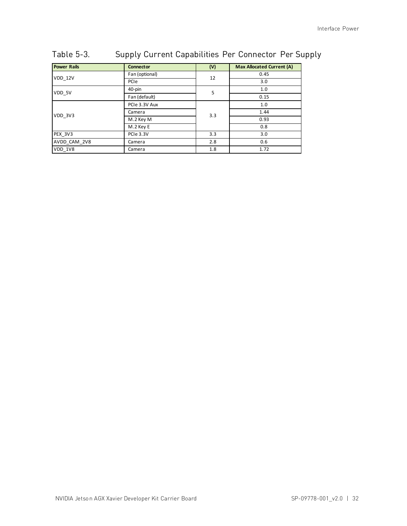| <b>Power Rails</b> | <b>Connector</b>     | (V) | <b>Max Allocated Current (A)</b> |
|--------------------|----------------------|-----|----------------------------------|
| VDD 12V            | Fan (optional)<br>12 |     | 0.45                             |
|                    | PCIe                 |     | 3.0                              |
| VDD 5V             | 40-pin               | 5   | 1.0                              |
|                    | Fan (default)        |     | 0.15                             |
|                    | PCIe 3.3V Aux        |     | 1.0                              |
| VDD 3V3            | Camera<br>3.3        |     | 1.44                             |
|                    | M.2 Key M            |     | 0.93                             |
|                    | M.2 Key E            |     | 0.8                              |
| PEX 3V3            | PCIe 3.3V            | 3.3 | 3.0                              |
| AVDD CAM 2V8       | Camera               | 2.8 | 0.6                              |
| VDD 1V8            | Camera               | 1.8 | 1.72                             |

### <span id="page-38-0"></span>Table 5-3. Supply Current Capabilities Per Connector Per Supply